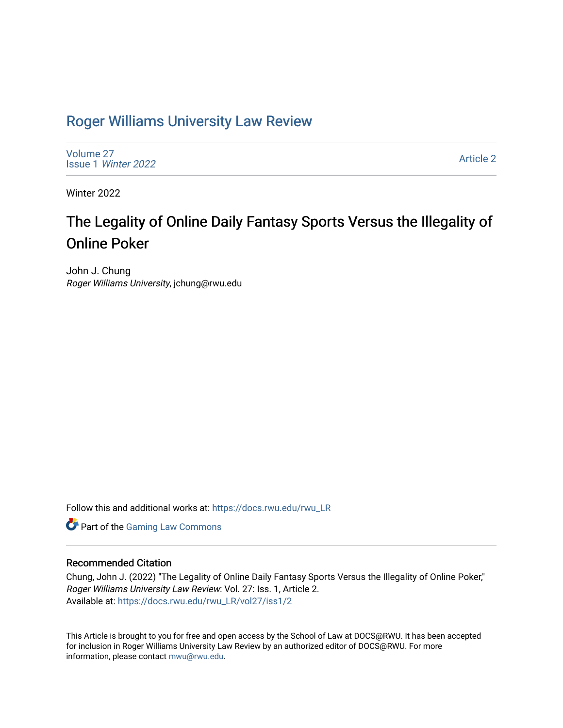# [Roger Williams University Law Review](https://docs.rwu.edu/rwu_LR)

[Volume 27](https://docs.rwu.edu/rwu_LR/vol27) Issue 1 [Winter 2022](https://docs.rwu.edu/rwu_LR/vol27/iss1) 

[Article 2](https://docs.rwu.edu/rwu_LR/vol27/iss1/2) 

Winter 2022

# The Legality of Online Daily Fantasy Sports Versus the Illegality of Online Poker

John J. Chung Roger Williams University, jchung@rwu.edu

Follow this and additional works at: [https://docs.rwu.edu/rwu\\_LR](https://docs.rwu.edu/rwu_LR?utm_source=docs.rwu.edu%2Frwu_LR%2Fvol27%2Fiss1%2F2&utm_medium=PDF&utm_campaign=PDFCoverPages) 

**Part of the [Gaming Law Commons](http://network.bepress.com/hgg/discipline/1117?utm_source=docs.rwu.edu%2Frwu_LR%2Fvol27%2Fiss1%2F2&utm_medium=PDF&utm_campaign=PDFCoverPages)** 

# Recommended Citation

Chung, John J. (2022) "The Legality of Online Daily Fantasy Sports Versus the Illegality of Online Poker," Roger Williams University Law Review: Vol. 27: Iss. 1, Article 2. Available at: [https://docs.rwu.edu/rwu\\_LR/vol27/iss1/2](https://docs.rwu.edu/rwu_LR/vol27/iss1/2?utm_source=docs.rwu.edu%2Frwu_LR%2Fvol27%2Fiss1%2F2&utm_medium=PDF&utm_campaign=PDFCoverPages) 

This Article is brought to you for free and open access by the School of Law at DOCS@RWU. It has been accepted for inclusion in Roger Williams University Law Review by an authorized editor of DOCS@RWU. For more information, please contact [mwu@rwu.edu](mailto:mwu@rwu.edu).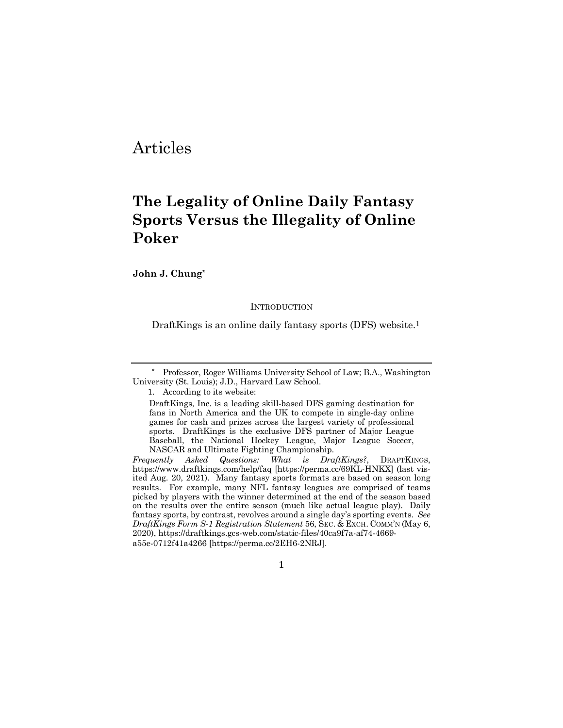# Articles

# **The Legality of Online Daily Fantasy Sports Versus the Illegality of Online Poker**

**John J. Chung\***

**INTRODUCTION** 

DraftKings is an online daily fantasy sports (DFS) website.1

1. According to its website:

1

<sup>\*</sup> Professor, Roger Williams University School of Law; B.A., Washington University (St. Louis); J.D., Harvard Law School.

DraftKings, Inc. is a leading skill-based DFS gaming destination for fans in North America and the UK to compete in single-day online games for cash and prizes across the largest variety of professional sports. DraftKings is the exclusive DFS partner of Major League Baseball, the National Hockey League, Major League Soccer, NASCAR and Ultimate Fighting Championship.

*Frequently Asked Questions: What is DraftKings?*, DRAFTKINGS, https://www.draftkings.com/help/faq [https://perma.cc/69KL-HNKX] (last visited Aug. 20, 2021). Many fantasy sports formats are based on season long results. For example, many NFL fantasy leagues are comprised of teams picked by players with the winner determined at the end of the season based on the results over the entire season (much like actual league play). Daily fantasy sports, by contrast, revolves around a single day's sporting events. *See DraftKings Form S-1 Registration Statement* 56, SEC. & EXCH. COMM'N (May 6, 2020), https://draftkings.gcs-web.com/static-files/40ca9f7a-af74-4669 a55e-0712f41a4266 [https://perma.cc/2EH6-2NRJ].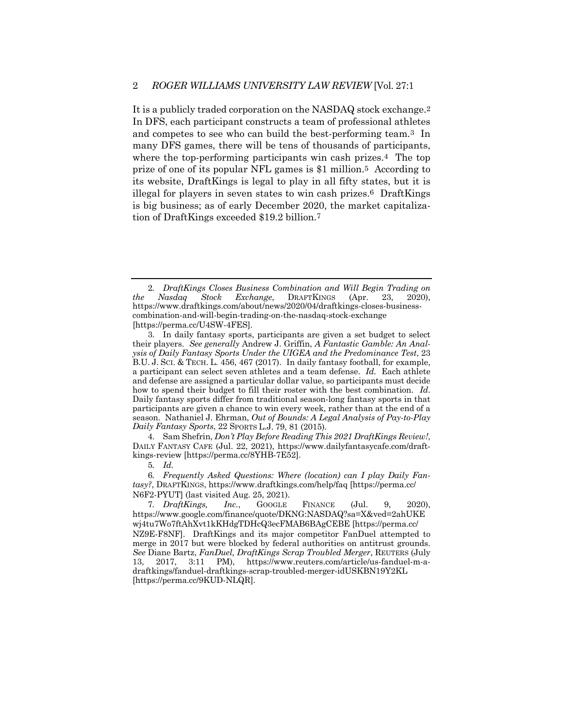It is a publicly traded corporation on the NASDAQ stock exchange.2 In DFS, each participant constructs a team of professional athletes and competes to see who can build the best-performing team.3 In many DFS games, there will be tens of thousands of participants, where the top-performing participants win cash prizes.<sup>4</sup> The top prize of one of its popular NFL games is \$1 million.5 According to its website, DraftKings is legal to play in all fifty states, but it is illegal for players in seven states to win cash prizes.6 DraftKings is big business; as of early December 2020, the market capitalization of DraftKings exceeded \$19.2 billion.7

4. Sam Shefrin, *Don't Play Before Reading This 2021 DraftKings Review!*, DAILY FANTASY CAFE (Jul. 22, 2021), https://www.dailyfantasycafe.com/draftkings-review [https://perma.cc/8YHB-7E52].

5*. Id.*

6*. Frequently Asked Questions: Where (location) can I play Daily Fantasy?*, DRAFTKINGS, https://www.draftkings.com/help/faq [https://perma.cc/ N6F2-PYUT] (last visited Aug. 25, 2021).

7*. DraftKings, Inc.*, GOOGLE FINANCE (Jul. 9, 2020), https://www.google.com/finance/quote/DKNG:NASDAQ?sa=X&ved=2ahUKE wj4tu7Wo7ftAhXvt1kKHdgTDHcQ3ecFMAB6BAgCEBE [https://perma.cc/ NZ9E-F8NF]. DraftKings and its major competitor FanDuel attempted to merge in 2017 but were blocked by federal authorities on antitrust grounds. *See* Diane Bartz, *FanDuel, DraftKings Scrap Troubled Merger*, REUTERS (July 13, 2017, 3:11 PM), https://www.reuters.com/article/us-fanduel-m-adraftkings/fanduel-draftkings-scrap-troubled-merger-idUSKBN19Y2KL [https://perma.cc/9KUD-NLQR].

<sup>2</sup>*. DraftKings Closes Business Combination and Will Begin Trading on the Nasdaq Stock Exchange*, DRAFTKINGS (Apr. 23, 2020), https://www.draftkings.com/about/news/2020/04/draftkings-closes-businesscombination-and-will-begin-trading-on-the-nasdaq-stock-exchange [https://perma.cc/U4SW-4FES].

<sup>3.</sup> In daily fantasy sports, participants are given a set budget to select their players. *See generally* Andrew J. Griffin, *A Fantastic Gamble: An Analysis of Daily Fantasy Sports Under the UIGEA and the Predominance Test*, 23 B.U. J. SCI. & TECH. L. 456, 467 (2017). In daily fantasy football, for example, a participant can select seven athletes and a team defense. *Id.* Each athlete and defense are assigned a particular dollar value, so participants must decide how to spend their budget to fill their roster with the best combination. *Id*. Daily fantasy sports differ from traditional season-long fantasy sports in that participants are given a chance to win every week, rather than at the end of a season. Nathaniel J. Ehrman, *Out of Bounds: A Legal Analysis of Pay-to-Play Daily Fantasy Sports*, 22 SPORTS L.J. 79, 81 (2015).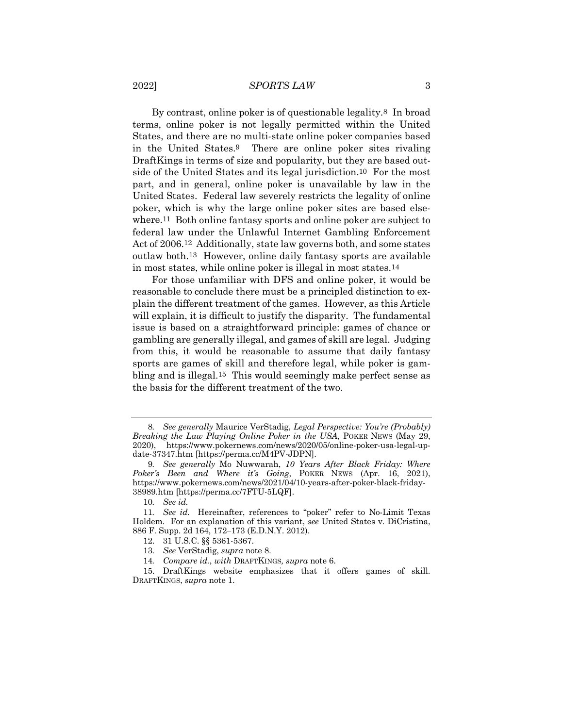#### 2022] *SPORTS LAW* 3

By contrast, online poker is of questionable legality.8 In broad terms, online poker is not legally permitted within the United States, and there are no multi-state online poker companies based in the United States.9 There are online poker sites rivaling DraftKings in terms of size and popularity, but they are based outside of the United States and its legal jurisdiction.10 For the most part, and in general, online poker is unavailable by law in the United States. Federal law severely restricts the legality of online poker, which is why the large online poker sites are based elsewhere.11 Both online fantasy sports and online poker are subject to federal law under the Unlawful Internet Gambling Enforcement Act of 2006.12 Additionally, state law governs both, and some states outlaw both.13 However, online daily fantasy sports are available in most states, while online poker is illegal in most states.14

For those unfamiliar with DFS and online poker, it would be reasonable to conclude there must be a principled distinction to explain the different treatment of the games. However, as this Article will explain, it is difficult to justify the disparity. The fundamental issue is based on a straightforward principle: games of chance or gambling are generally illegal, and games of skill are legal. Judging from this, it would be reasonable to assume that daily fantasy sports are games of skill and therefore legal, while poker is gambling and is illegal.15 This would seemingly make perfect sense as the basis for the different treatment of the two.

10*. See id.*

<sup>8</sup>*. See generally* Maurice VerStadig, *Legal Perspective: You're (Probably) Breaking the Law Playing Online Poker in the USA*, POKER NEWS (May 29, 2020), https://www.pokernews.com/news/2020/05/online-poker-usa-legal-update-37347.htm [https://perma.cc/M4PV-JDPN].

<sup>9</sup>*. See generally* Mo Nuwwarah, *10 Years After Black Friday: Where Poker's Been and Where it's Going*, POKER NEWS (Apr. 16, 2021), https://www.pokernews.com/news/2021/04/10-years-after-poker-black-friday-38989.htm [https://perma.cc/7FTU-5LQF].

<sup>11</sup>*. See id.* Hereinafter, references to "poker" refer to No-Limit Texas Holdem. For an explanation of this variant, *see* United States v. DiCristina, 886 F. Supp. 2d 164, 172–173 (E.D.N.Y. 2012).

<sup>12.</sup> 31 U.S.C. §§ 5361-5367.

<sup>13</sup>*. See* VerStadig, *supra* note 8.

<sup>14</sup>*. Compare id.*, *with* DRAFTKINGS*, supra* note 6.

<sup>15.</sup> DraftKings website emphasizes that it offers games of skill*.* DRAFTKINGS, *supra* note 1.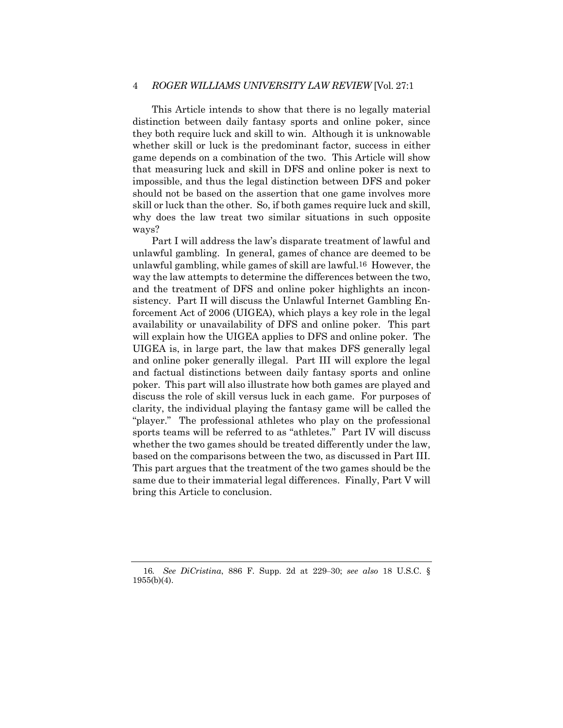# 4 *ROGER WILLIAMS UNIVERSITY LAW REVIEW* [Vol. 27:1

This Article intends to show that there is no legally material distinction between daily fantasy sports and online poker, since they both require luck and skill to win. Although it is unknowable whether skill or luck is the predominant factor, success in either game depends on a combination of the two. This Article will show that measuring luck and skill in DFS and online poker is next to impossible, and thus the legal distinction between DFS and poker should not be based on the assertion that one game involves more skill or luck than the other. So, if both games require luck and skill, why does the law treat two similar situations in such opposite ways?

Part I will address the law's disparate treatment of lawful and unlawful gambling. In general, games of chance are deemed to be unlawful gambling, while games of skill are lawful.16 However, the way the law attempts to determine the differences between the two, and the treatment of DFS and online poker highlights an inconsistency. Part II will discuss the Unlawful Internet Gambling Enforcement Act of 2006 (UIGEA), which plays a key role in the legal availability or unavailability of DFS and online poker. This part will explain how the UIGEA applies to DFS and online poker. The UIGEA is, in large part, the law that makes DFS generally legal and online poker generally illegal. Part III will explore the legal and factual distinctions between daily fantasy sports and online poker. This part will also illustrate how both games are played and discuss the role of skill versus luck in each game. For purposes of clarity, the individual playing the fantasy game will be called the "player." The professional athletes who play on the professional sports teams will be referred to as "athletes." Part IV will discuss whether the two games should be treated differently under the law, based on the comparisons between the two, as discussed in Part III. This part argues that the treatment of the two games should be the same due to their immaterial legal differences. Finally, Part V will bring this Article to conclusion.

<sup>16</sup>*. See DiCristina*, 886 F. Supp. 2d at 229–30; *see also* 18 U.S.C. § 1955(b)(4).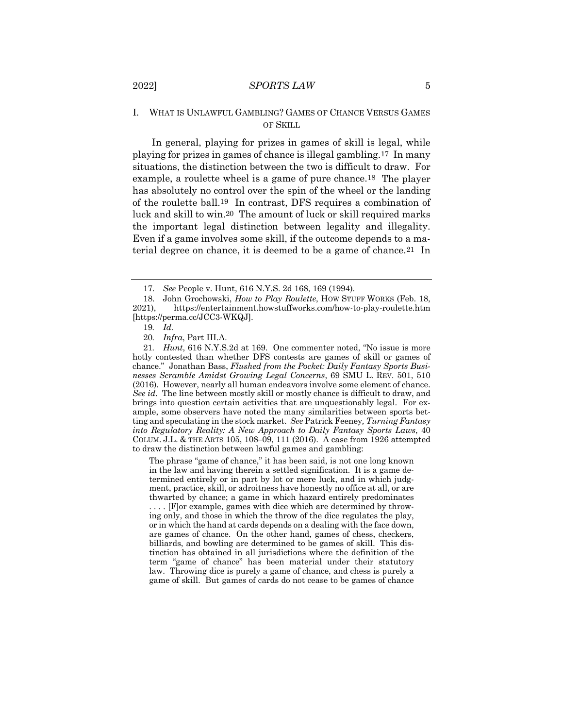# I. WHAT IS UNLAWFUL GAMBLING? GAMES OF CHANCE VERSUS GAMES OF SKILL

In general, playing for prizes in games of skill is legal, while playing for prizes in games of chance is illegal gambling.17 In many situations, the distinction between the two is difficult to draw. For example, a roulette wheel is a game of pure chance.18 The player has absolutely no control over the spin of the wheel or the landing of the roulette ball.19 In contrast, DFS requires a combination of luck and skill to win.20 The amount of luck or skill required marks the important legal distinction between legality and illegality. Even if a game involves some skill, if the outcome depends to a material degree on chance, it is deemed to be a game of chance.21 In

19*. Id.*

20*. Infra*, Part III.A.

The phrase "game of chance," it has been said, is not one long known in the law and having therein a settled signification. It is a game determined entirely or in part by lot or mere luck, and in which judgment, practice, skill, or adroitness have honestly no office at all, or are thwarted by chance; a game in which hazard entirely predominates

. . . . [F]or example, games with dice which are determined by throwing only, and those in which the throw of the dice regulates the play, or in which the hand at cards depends on a dealing with the face down, are games of chance. On the other hand, games of chess, checkers, billiards, and bowling are determined to be games of skill. This distinction has obtained in all jurisdictions where the definition of the term "game of chance" has been material under their statutory law. Throwing dice is purely a game of chance, and chess is purely a game of skill. But games of cards do not cease to be games of chance

<sup>17.</sup> *See* People v. Hunt, 616 N.Y.S. 2d 168, 169 (1994).

<sup>18.</sup> John Grochowski, *How to Play Roulette*, HOW STUFF WORKS (Feb. 18, 2021), https://entertainment.howstuffworks.com/how-to-play-roulette.htm [https://perma.cc/JCC3-WKQJ].

<sup>21</sup>*. Hunt*, 616 N.Y.S.2d at 169. One commenter noted, "No issue is more hotly contested than whether DFS contests are games of skill or games of chance." Jonathan Bass, *Flushed from the Pocket: Daily Fantasy Sports Businesses Scramble Amidst Growing Legal Concerns*, 69 SMU L. REV. 501, 510 (2016). However, nearly all human endeavors involve some element of chance. *See id*. The line between mostly skill or mostly chance is difficult to draw, and brings into question certain activities that are unquestionably legal. For example, some observers have noted the many similarities between sports betting and speculating in the stock market. *See* Patrick Feeney*, Turning Fantasy into Regulatory Reality: A New Approach to Daily Fantasy Sports Laws*, 40 COLUM. J.L. & THE ARTS 105, 108–09, 111 (2016). A case from 1926 attempted to draw the distinction between lawful games and gambling: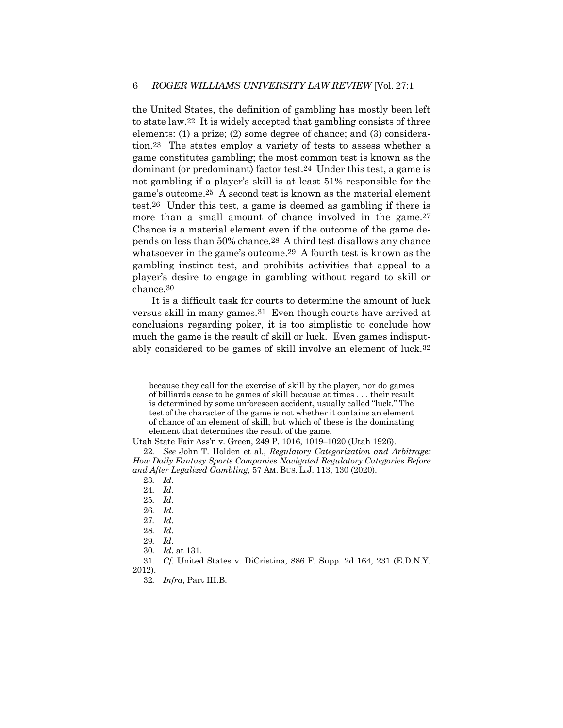the United States, the definition of gambling has mostly been left to state law.22 It is widely accepted that gambling consists of three elements: (1) a prize; (2) some degree of chance; and (3) consideration.23 The states employ a variety of tests to assess whether a game constitutes gambling; the most common test is known as the dominant (or predominant) factor test.24 Under this test, a game is not gambling if a player's skill is at least 51% responsible for the game's outcome.25 A second test is known as the material element test.26 Under this test, a game is deemed as gambling if there is more than a small amount of chance involved in the game.27 Chance is a material element even if the outcome of the game depends on less than 50% chance.28 A third test disallows any chance whatsoever in the game's outcome.29 A fourth test is known as the gambling instinct test, and prohibits activities that appeal to a player's desire to engage in gambling without regard to skill or chance.30

It is a difficult task for courts to determine the amount of luck versus skill in many games.31 Even though courts have arrived at conclusions regarding poker, it is too simplistic to conclude how much the game is the result of skill or luck. Even games indisputably considered to be games of skill involve an element of luck.32

because they call for the exercise of skill by the player, nor do games of billiards cease to be games of skill because at times . . . their result is determined by some unforeseen accident, usually called "luck." The test of the character of the game is not whether it contains an element of chance of an element of skill, but which of these is the dominating element that determines the result of the game.

Utah State Fair Ass'n v. Green, 249 P. 1016, 1019–1020 (Utah 1926).

<sup>22</sup>*. See* John T. Holden et al., *Regulatory Categorization and Arbitrage: How Daily Fantasy Sports Companies Navigated Regulatory Categories Before and After Legalized Gambling*, 57 AM. BUS. L.J. 113, 130 (2020).

<sup>23</sup>*. Id*.

<sup>24</sup>*. Id*.

<sup>25</sup>*. Id*.

<sup>26</sup>*. Id*.

<sup>27</sup>*. Id*.

<sup>28</sup>*. Id*.

<sup>29</sup>*. Id*.

<sup>30</sup>*. Id*. at 131.

<sup>31</sup>*. Cf.* United States v. DiCristina, 886 F. Supp. 2d 164, 231 (E.D.N.Y. 2012).

<sup>32</sup>*. Infra*, Part III.B.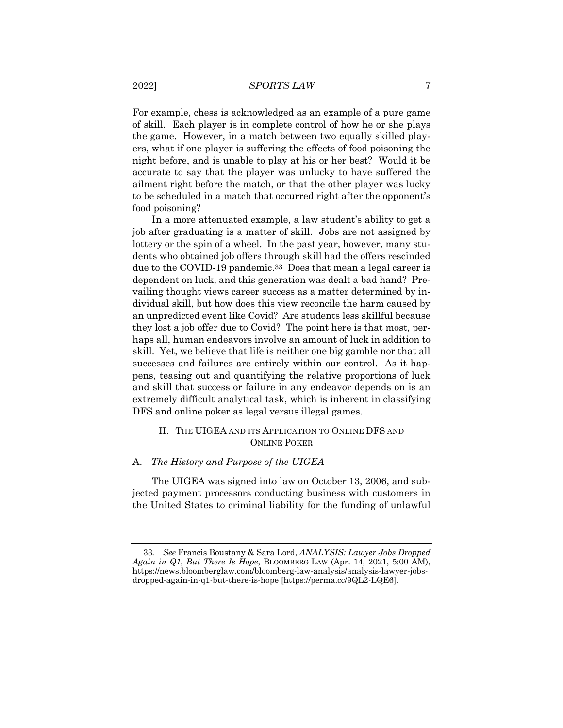For example, chess is acknowledged as an example of a pure game of skill. Each player is in complete control of how he or she plays the game. However, in a match between two equally skilled players, what if one player is suffering the effects of food poisoning the night before, and is unable to play at his or her best? Would it be accurate to say that the player was unlucky to have suffered the ailment right before the match, or that the other player was lucky to be scheduled in a match that occurred right after the opponent's food poisoning?

In a more attenuated example, a law student's ability to get a job after graduating is a matter of skill. Jobs are not assigned by lottery or the spin of a wheel. In the past year, however, many students who obtained job offers through skill had the offers rescinded due to the COVID-19 pandemic.33 Does that mean a legal career is dependent on luck, and this generation was dealt a bad hand? Prevailing thought views career success as a matter determined by individual skill, but how does this view reconcile the harm caused by an unpredicted event like Covid? Are students less skillful because they lost a job offer due to Covid? The point here is that most, perhaps all, human endeavors involve an amount of luck in addition to skill. Yet, we believe that life is neither one big gamble nor that all successes and failures are entirely within our control. As it happens, teasing out and quantifying the relative proportions of luck and skill that success or failure in any endeavor depends on is an extremely difficult analytical task, which is inherent in classifying DFS and online poker as legal versus illegal games.

# II. THE UIGEA AND ITS APPLICATION TO ONLINE DFS AND ONLINE POKER

# A. *The History and Purpose of the UIGEA*

The UIGEA was signed into law on October 13, 2006, and subjected payment processors conducting business with customers in the United States to criminal liability for the funding of unlawful

<sup>33</sup>*. See* Francis Boustany & Sara Lord, *ANALYSIS: Lawyer Jobs Dropped Again in Q1, But There Is Hope*, BLOOMBERG LAW (Apr. 14, 2021, 5:00 AM), https://news.bloomberglaw.com/bloomberg-law-analysis/analysis-lawyer-jobsdropped-again-in-q1-but-there-is-hope [https://perma.cc/9QL2-LQE6].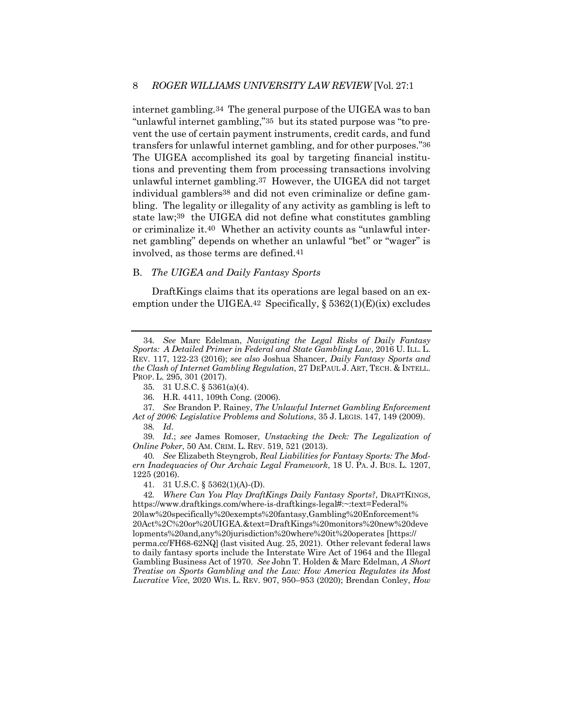internet gambling.34 The general purpose of the UIGEA was to ban "unlawful internet gambling,"35 but its stated purpose was "to prevent the use of certain payment instruments, credit cards, and fund transfers for unlawful internet gambling, and for other purposes."36 The UIGEA accomplished its goal by targeting financial institutions and preventing them from processing transactions involving unlawful internet gambling.37 However, the UIGEA did not target individual gamblers38 and did not even criminalize or define gambling. The legality or illegality of any activity as gambling is left to state law;39 the UIGEA did not define what constitutes gambling or criminalize it.40 Whether an activity counts as "unlawful internet gambling" depends on whether an unlawful "bet" or "wager" is involved, as those terms are defined.41

## B. *The UIGEA and Daily Fantasy Sports*

DraftKings claims that its operations are legal based on an exemption under the UIGEA.<sup>42</sup> Specifically,  $\S 5362(1)(E)(ix)$  excludes

<sup>34</sup>*. See* Marc Edelman, *Navigating the Legal Risks of Daily Fantasy Sports: A Detailed Primer in Federal and State Gambling Law*, 2016 U. ILL. L. REV. 117, 122-23 (2016); *see also* Joshua Shancer, *Daily Fantasy Sports and the Clash of Internet Gambling Regulation*, 27 DEPAUL J. ART, TECH. & INTELL. PROP. L. 295, 301 (2017).

<sup>35.</sup> 31 U.S.C. § 5361(a)(4).

<sup>36.</sup> H.R. 4411, 109th Cong. (2006).

<sup>37</sup>*. See* Brandon P. Rainey, *The Unlawful Internet Gambling Enforcement Act of 2006: Legislative Problems and Solutions*, 35 J. LEGIS. 147, 149 (2009).

<sup>38</sup>*. Id*.

<sup>39</sup>*. Id*.; *see* James Romoser, *Unstacking the Deck: The Legalization of Online Poker*, 50 AM. CRIM. L. REV. 519, 521 (2013).

<sup>40</sup>*. See* Elizabeth Steyngrob, *Real Liabilities for Fantasy Sports: The Modern Inadequacies of Our Archaic Legal Framework*, 18 U. PA. J. BUS. L. 1207, 1225 (2016).

<sup>41.</sup> 31 U.S.C. § 5362(1)(A)-(D).

<sup>42</sup>*. Where Can You Play DraftKings Daily Fantasy Sports?*, DRAFTKINGS, https://www.draftkings.com/where-is-draftkings-legal#:~:text=Federal% 20law%20specifically%20exempts%20fantasy,Gambling%20Enforcement% 20Act%2C%20or%20UIGEA.&text=DraftKings%20monitors%20new%20deve lopments%20and,any%20jurisdiction%20where%20it%20operates [https:// perma.cc/FH68-62NQ] (last visited Aug. 25, 2021). Other relevant federal laws to daily fantasy sports include the Interstate Wire Act of 1964 and the Illegal Gambling Business Act of 1970. *See* John T. Holden & Marc Edelman, *A Short Treatise on Sports Gambling and the Law: How America Regulates its Most Lucrative Vice*, 2020 WIS. L. REV. 907, 950–953 (2020); Brendan Conley, *How*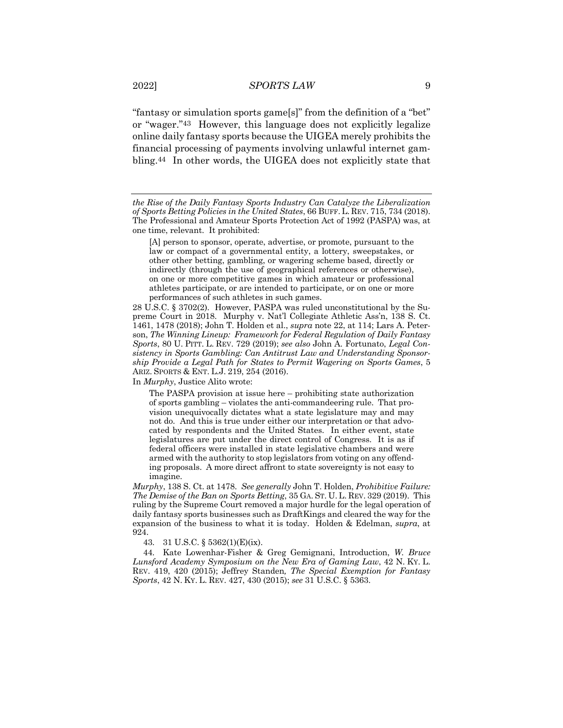"fantasy or simulation sports game[s]" from the definition of a "bet" or "wager."43 However, this language does not explicitly legalize online daily fantasy sports because the UIGEA merely prohibits the financial processing of payments involving unlawful internet gambling.44 In other words, the UIGEA does not explicitly state that

[A] person to sponsor, operate, advertise, or promote, pursuant to the law or compact of a governmental entity, a lottery, sweepstakes, or other other betting, gambling, or wagering scheme based, directly or indirectly (through the use of geographical references or otherwise), on one or more competitive games in which amateur or professional athletes participate, or are intended to participate, or on one or more performances of such athletes in such games.

28 U.S.C. § 3702(2). However, PASPA was ruled unconstitutional by the Supreme Court in 2018. Murphy v. Nat'l Collegiate Athletic Ass'n, 138 S. Ct. 1461, 1478 (2018); John T. Holden et al., *supra* note 22, at 114; Lars A. Peterson, *The Winning Lineup: Framework for Federal Regulation of Daily Fantasy Sports*, 80 U. PITT. L. REV. 729 (2019); *see also* John A. Fortunato, *Legal Consistency in Sports Gambling: Can Antitrust Law and Understanding Sponsorship Provide a Legal Path for States to Permit Wagering on Sports Games*, 5 ARIZ. SPORTS & ENT. L.J. 219, 254 (2016).

In *Murphy*, Justice Alito wrote:

The PASPA provision at issue here – prohibiting state authorization of sports gambling – violates the anti-commandeering rule. That provision unequivocally dictates what a state legislature may and may not do. And this is true under either our interpretation or that advocated by respondents and the United States. In either event, state legislatures are put under the direct control of Congress. It is as if federal officers were installed in state legislative chambers and were armed with the authority to stop legislators from voting on any offending proposals. A more direct affront to state sovereignty is not easy to imagine.

*Murphy*, 138 S. Ct. at 1478. *See generally* John T. Holden, *Prohibitive Failure: The Demise of the Ban on Sports Betting*, 35 GA. ST. U. L. REV. 329 (2019). This ruling by the Supreme Court removed a major hurdle for the legal operation of daily fantasy sports businesses such as DraftKings and cleared the way for the expansion of the business to what it is today. Holden & Edelman, *supra*, at 924.

43. 31 U.S.C. § 5362(1)(E)(ix).

44. Kate Lowenhar-Fisher & Greg Gemignani, Introduction, *W. Bruce Lunsford Academy Symposium on the New Era of Gaming Law*, 42 N. KY. L. REV. 419, 420 (2015); Jeffrey Standen*, The Special Exemption for Fantasy Sports*, 42 N. KY. L. REV. 427, 430 (2015); *see* 31 U.S.C. § 5363.

*the Rise of the Daily Fantasy Sports Industry Can Catalyze the Liberalization of Sports Betting Policies in the United States*, 66 BUFF. L. REV. 715, 734 (2018). The Professional and Amateur Sports Protection Act of 1992 (PASPA) was, at one time, relevant. It prohibited: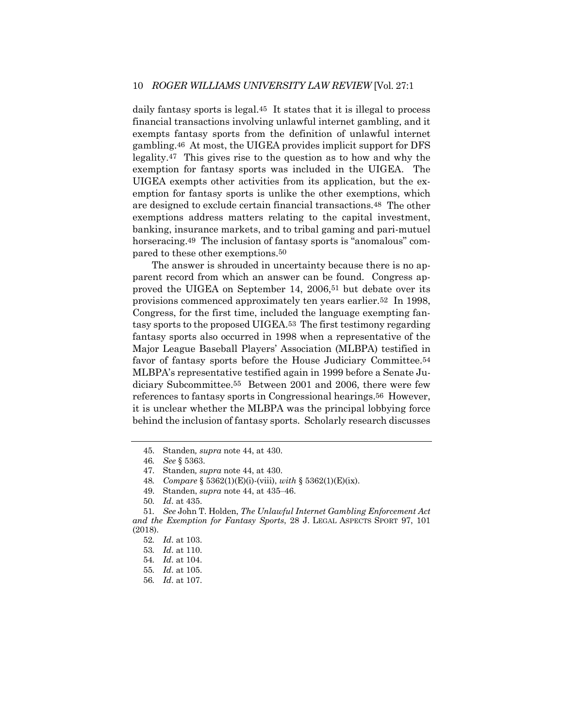daily fantasy sports is legal.45 It states that it is illegal to process financial transactions involving unlawful internet gambling, and it exempts fantasy sports from the definition of unlawful internet gambling.46 At most, the UIGEA provides implicit support for DFS legality.47 This gives rise to the question as to how and why the exemption for fantasy sports was included in the UIGEA. The UIGEA exempts other activities from its application, but the exemption for fantasy sports is unlike the other exemptions, which are designed to exclude certain financial transactions.48 The other exemptions address matters relating to the capital investment, banking, insurance markets, and to tribal gaming and pari-mutuel horseracing.<sup>49</sup> The inclusion of fantasy sports is "anomalous" compared to these other exemptions.50

The answer is shrouded in uncertainty because there is no apparent record from which an answer can be found. Congress approved the UIGEA on September 14, 2006,51 but debate over its provisions commenced approximately ten years earlier.52 In 1998, Congress, for the first time, included the language exempting fantasy sports to the proposed UIGEA.53 The first testimony regarding fantasy sports also occurred in 1998 when a representative of the Major League Baseball Players' Association (MLBPA) testified in favor of fantasy sports before the House Judiciary Committee.54 MLBPA's representative testified again in 1999 before a Senate Judiciary Subcommittee.55 Between 2001 and 2006, there were few references to fantasy sports in Congressional hearings.56 However, it is unclear whether the MLBPA was the principal lobbying force behind the inclusion of fantasy sports. Scholarly research discusses

56*. Id*. at 107.

<sup>45.</sup> Standen*, supra* note 44, at 430.

<sup>46</sup>*. See* § 5363.

<sup>47.</sup> Standen*, supra* note 44, at 430.

<sup>48</sup>*. Compare* § 5362(1)(E)(i)-(viii), *with* § 5362(1)(E)(ix).

<sup>49.</sup> Standen, *supra* note 44, at 435–46.

<sup>50</sup>*. Id*. at 435.

<sup>51</sup>*. See* John T. Holden, *The Unlawful Internet Gambling Enforcement Act and the Exemption for Fantasy Sports*, 28 J. LEGAL ASPECTS SPORT 97, 101 (2018).

<sup>52</sup>*. Id*. at 103.

<sup>53</sup>*. Id*. at 110.

<sup>54</sup>*. Id*. at 104.

<sup>55</sup>*. Id*. at 105.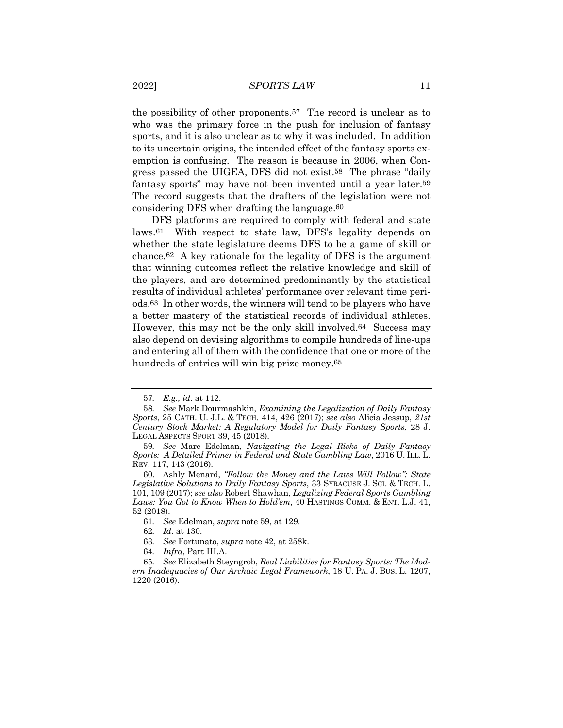the possibility of other proponents.57 The record is unclear as to who was the primary force in the push for inclusion of fantasy sports, and it is also unclear as to why it was included. In addition to its uncertain origins, the intended effect of the fantasy sports exemption is confusing. The reason is because in 2006, when Congress passed the UIGEA, DFS did not exist.58 The phrase "daily fantasy sports" may have not been invented until a year later.59 The record suggests that the drafters of the legislation were not considering DFS when drafting the language.60

DFS platforms are required to comply with federal and state laws.61 With respect to state law, DFS's legality depends on whether the state legislature deems DFS to be a game of skill or chance.62 A key rationale for the legality of DFS is the argument that winning outcomes reflect the relative knowledge and skill of the players, and are determined predominantly by the statistical results of individual athletes' performance over relevant time periods.63 In other words, the winners will tend to be players who have a better mastery of the statistical records of individual athletes. However, this may not be the only skill involved.64 Success may also depend on devising algorithms to compile hundreds of line-ups and entering all of them with the confidence that one or more of the hundreds of entries will win big prize money.65

<sup>57</sup>*. E.g., id*. at 112.

<sup>58</sup>*. See* Mark Dourmashkin, *Examining the Legalization of Daily Fantasy Sports*, 25 CATH. U. J.L. & TECH. 414, 426 (2017); *see also* Alicia Jessup, *21st Century Stock Market: A Regulatory Model for Daily Fantasy Sports,* 28 J. LEGAL ASPECTS SPORT 39, 45 (2018).

<sup>59</sup>*. See* Marc Edelman, *Navigating the Legal Risks of Daily Fantasy Sports: A Detailed Primer in Federal and State Gambling Law*, 2016 U. ILL. L. REV. 117, 143 (2016).

<sup>60.</sup> Ashly Menard, *"Follow the Money and the Laws Will Follow": State Legislative Solutions to Daily Fantasy Sports*, 33 SYRACUSE J. SCI. & TECH. L. 101, 109 (2017); *see also* Robert Shawhan, *Legalizing Federal Sports Gambling Laws: You Got to Know When to Hold'em*, 40 HASTINGS COMM. & ENT. L.J. 41, 52 (2018).

<sup>61</sup>*. See* Edelman, *supra* note 59, at 129.

<sup>62</sup>*. Id*. at 130.

<sup>63</sup>*. See* Fortunato, *supra* note 42, at 258k.

<sup>64</sup>*. Infra*, Part III.A.

<sup>65</sup>*. See* Elizabeth Steyngrob, *Real Liabilities for Fantasy Sports: The Modern Inadequacies of Our Archaic Legal Framework*, 18 U. PA. J. BUS. L. 1207, 1220 (2016).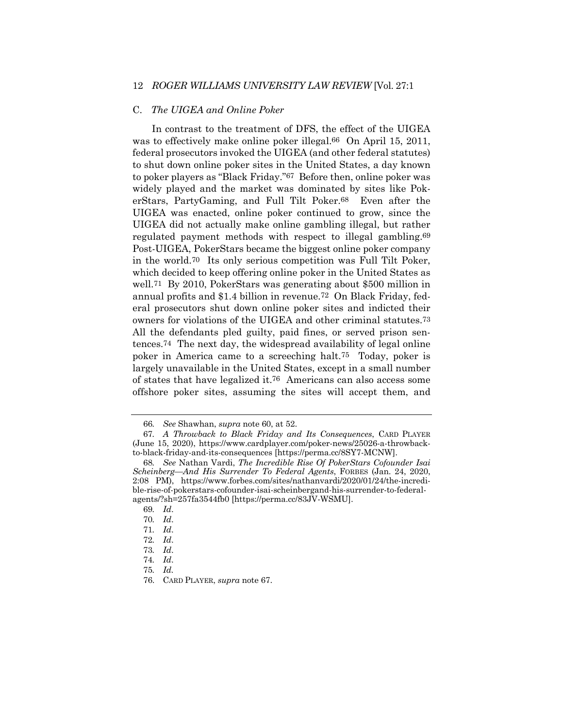# 12 *ROGER WILLIAMS UNIVERSITY LAW REVIEW* [Vol. 27:1

#### C. *The UIGEA and Online Poker*

In contrast to the treatment of DFS, the effect of the UIGEA was to effectively make online poker illegal.<sup>66</sup> On April 15, 2011, federal prosecutors invoked the UIGEA (and other federal statutes) to shut down online poker sites in the United States, a day known to poker players as "Black Friday."67 Before then, online poker was widely played and the market was dominated by sites like PokerStars, PartyGaming, and Full Tilt Poker.68 Even after the UIGEA was enacted, online poker continued to grow, since the UIGEA did not actually make online gambling illegal, but rather regulated payment methods with respect to illegal gambling.69 Post-UIGEA, PokerStars became the biggest online poker company in the world.70 Its only serious competition was Full Tilt Poker, which decided to keep offering online poker in the United States as well.71 By 2010, PokerStars was generating about \$500 million in annual profits and \$1.4 billion in revenue.72 On Black Friday, federal prosecutors shut down online poker sites and indicted their owners for violations of the UIGEA and other criminal statutes.73 All the defendants pled guilty, paid fines, or served prison sentences.74 The next day, the widespread availability of legal online poker in America came to a screeching halt.75 Today, poker is largely unavailable in the United States, except in a small number of states that have legalized it.76 Americans can also access some offshore poker sites, assuming the sites will accept them, and

<sup>66</sup>*. See* Shawhan, *supra* note 60, at 52.

<sup>67</sup>*. A Throwback to Black Friday and Its Consequences*, CARD PLAYER (June 15, 2020), https://www.cardplayer.com/poker-news/25026-a-throwbackto-black-friday-and-its-consequences [https://perma.cc/8SY7-MCNW].

<sup>68</sup>*. See* Nathan Vardi, *The Incredible Rise Of PokerStars Cofounder Isai Scheinberg—And His Surrender To Federal Agents*, FORBES (Jan. 24, 2020, 2:08 PM), https://www.forbes.com/sites/nathanvardi/2020/01/24/the-incredible-rise-of-pokerstars-cofounder-isai-scheinbergand-his-surrender-to-federalagents/?sh=257fa3544fb0 [https://perma.cc/83JV-WSMU].

<sup>69</sup>*. Id*.

<sup>70</sup>*. Id*.

<sup>71</sup>*. Id*.

<sup>72</sup>*. Id*.

<sup>73</sup>*. Id*.

<sup>74</sup>*. Id*.

<sup>75</sup>*. Id.*

<sup>76.</sup> CARD PLAYER, *supra* note 67.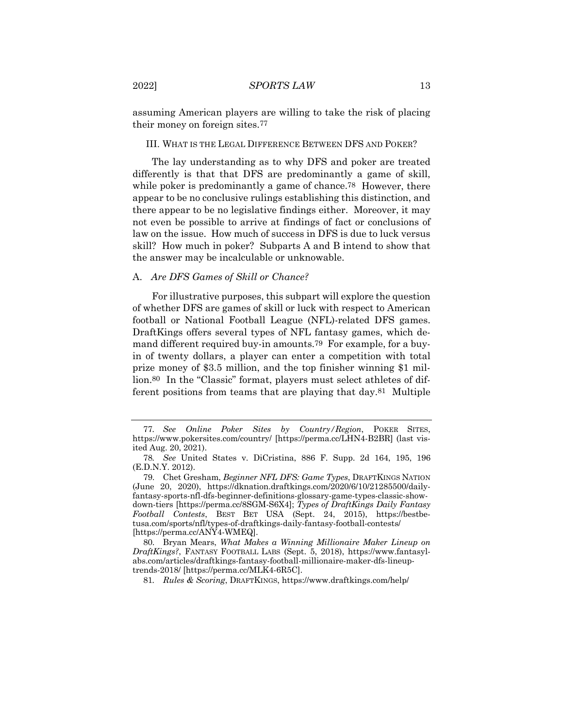assuming American players are willing to take the risk of placing their money on foreign sites.77

#### III. WHAT IS THE LEGAL DIFFERENCE BETWEEN DFS AND POKER?

The lay understanding as to why DFS and poker are treated differently is that that DFS are predominantly a game of skill, while poker is predominantly a game of chance.<sup>78</sup> However, there appear to be no conclusive rulings establishing this distinction, and there appear to be no legislative findings either. Moreover, it may not even be possible to arrive at findings of fact or conclusions of law on the issue. How much of success in DFS is due to luck versus skill? How much in poker? Subparts A and B intend to show that the answer may be incalculable or unknowable.

#### A. *Are DFS Games of Skill or Chance?*

For illustrative purposes, this subpart will explore the question of whether DFS are games of skill or luck with respect to American football or National Football League (NFL)-related DFS games. DraftKings offers several types of NFL fantasy games, which demand different required buy-in amounts.79 For example, for a buyin of twenty dollars, a player can enter a competition with total prize money of \$3.5 million, and the top finisher winning \$1 million.80 In the "Classic" format, players must select athletes of different positions from teams that are playing that day.81 Multiple

81*. Rules & Scoring*, DRAFTKINGS, https://www.draftkings.com/help/

<sup>77</sup>*. See Online Poker Sites by Country/Region*, POKER SITES, https://www.pokersites.com/country/ [https://perma.cc/LHN4-B2BR] (last visited Aug. 20, 2021).

<sup>78</sup>*. See* United States v. DiCristina, 886 F. Supp. 2d 164, 195, 196 (E.D.N.Y. 2012).

<sup>79.</sup> Chet Gresham, *Beginner NFL DFS: Game Types*, DRAFTKINGS NATION (June 20, 2020), https://dknation.draftkings.com/2020/6/10/21285500/dailyfantasy-sports-nfl-dfs-beginner-definitions-glossary-game-types-classic-showdown-tiers [https://perma.cc/8SGM-S6X4]; *Types of DraftKings Daily Fantasy Football Contests*, BEST BET USA (Sept. 24, 2015), https://bestbetusa.com/sports/nfl/types-of-draftkings-daily-fantasy-football-contests/ [https://perma.cc/ANY4-WMEQ].

<sup>80.</sup> Bryan Mears, *What Makes a Winning Millionaire Maker Lineup on DraftKings?*, FANTASY FOOTBALL LABS (Sept. 5, 2018), https://www.fantasylabs.com/articles/draftkings-fantasy-football-millionaire-maker-dfs-lineuptrends-2018/ [https://perma.cc/MLK4-6R5C].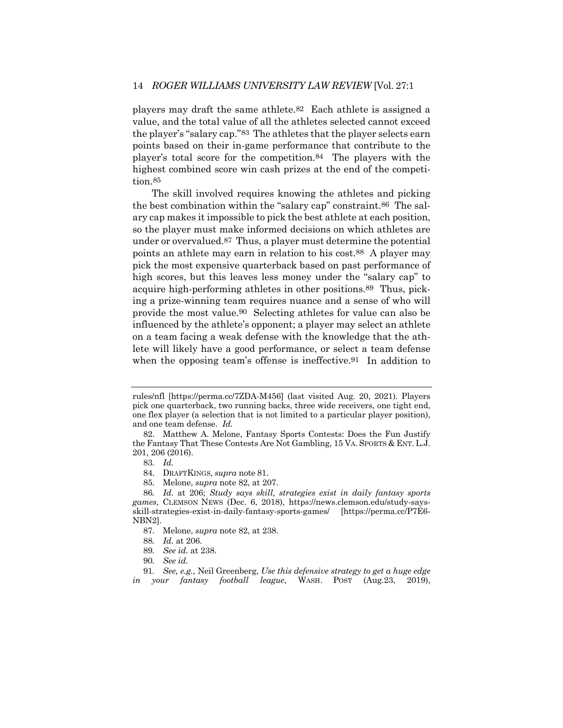players may draft the same athlete.82 Each athlete is assigned a value, and the total value of all the athletes selected cannot exceed the player's "salary cap."83 The athletes that the player selects earn points based on their in-game performance that contribute to the player's total score for the competition.84 The players with the highest combined score win cash prizes at the end of the competition.85

The skill involved requires knowing the athletes and picking the best combination within the "salary cap" constraint.86 The salary cap makes it impossible to pick the best athlete at each position, so the player must make informed decisions on which athletes are under or overvalued.87 Thus, a player must determine the potential points an athlete may earn in relation to his cost.88 A player may pick the most expensive quarterback based on past performance of high scores, but this leaves less money under the "salary cap" to acquire high-performing athletes in other positions.89 Thus, picking a prize-winning team requires nuance and a sense of who will provide the most value.90 Selecting athletes for value can also be influenced by the athlete's opponent; a player may select an athlete on a team facing a weak defense with the knowledge that the athlete will likely have a good performance, or select a team defense when the opposing team's offense is ineffective.<sup>91</sup> In addition to

85. Melone, *supra* note 82, at 207.

87. Melone, *supra* note 82, at 238.

rules/nfl [https://perma.cc/7ZDA-M456] (last visited Aug. 20, 2021). Players pick one quarterback, two running backs, three wide receivers, one tight end, one flex player (a selection that is not limited to a particular player position), and one team defense. *Id.*

<sup>82.</sup> Matthew A. Melone, Fantasy Sports Contests: Does the Fun Justify the Fantasy That These Contests Are Not Gambling, 15 VA. SPORTS & ENT. L.J. 201, 206 (2016).

<sup>83</sup>*. Id.*

<sup>84.</sup> DRAFTKINGS, *supra* note 81.

<sup>86</sup>*. Id.* at 206; *Study says skill, strategies exist in daily fantasy sports games*, CLEMSON NEWS (Dec. 6, 2018), https://news.clemson.edu/study-saysskill-strategies-exist-in-daily-fantasy-sports-games/ [https://perma.cc/P7E6- NBN2].

<sup>88</sup>*. Id.* at 206.

<sup>89</sup>*. See id.* at 238.

<sup>90</sup>*. See id.*

<sup>91</sup>*. See, e.g.,* Neil Greenberg, *Use this defensive strategy to get a huge edge in your fantasy football league*, WASH. POST (Aug.23, 2019),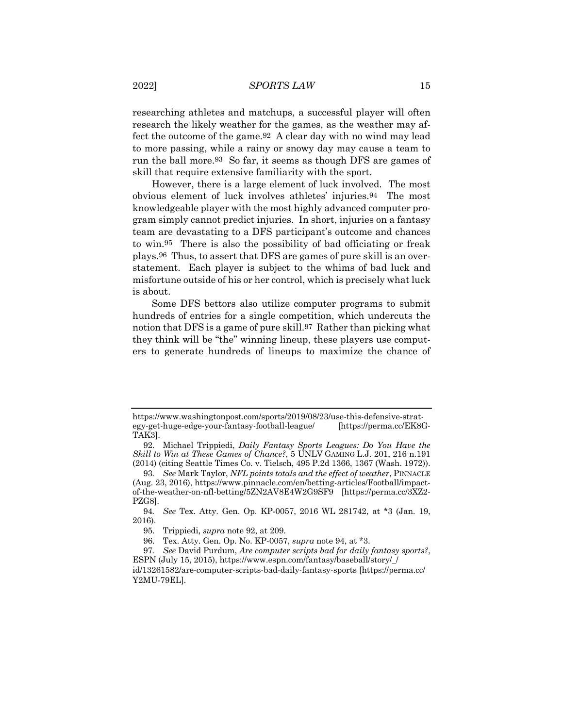researching athletes and matchups, a successful player will often research the likely weather for the games, as the weather may affect the outcome of the game.92 A clear day with no wind may lead to more passing, while a rainy or snowy day may cause a team to run the ball more.93 So far, it seems as though DFS are games of skill that require extensive familiarity with the sport.

However, there is a large element of luck involved. The most obvious element of luck involves athletes' injuries.94 The most knowledgeable player with the most highly advanced computer program simply cannot predict injuries. In short, injuries on a fantasy team are devastating to a DFS participant's outcome and chances to win.95 There is also the possibility of bad officiating or freak plays.96 Thus, to assert that DFS are games of pure skill is an overstatement. Each player is subject to the whims of bad luck and misfortune outside of his or her control, which is precisely what luck is about.

Some DFS bettors also utilize computer programs to submit hundreds of entries for a single competition, which undercuts the notion that DFS is a game of pure skill.97 Rather than picking what they think will be "the" winning lineup, these players use computers to generate hundreds of lineups to maximize the chance of

https://www.washingtonpost.com/sports/2019/08/23/use-this-defensive-strategy-get-huge-edge-your-fantasy-football-league/ [https://perma.cc/EK8G-TAK3].

<sup>92.</sup> Michael Trippiedi, *Daily Fantasy Sports Leagues: Do You Have the Skill to Win at These Games of Chance?*, 5 UNLV GAMING L.J. 201, 216 n.191 (2014) (citing Seattle Times Co. v. Tielsch, 495 P.2d 1366, 1367 (Wash. 1972)).

<sup>93</sup>*. See* Mark Taylor, *NFL points totals and the effect of weather*, PINNACLE (Aug. 23, 2016), https://www.pinnacle.com/en/betting-articles/Football/impactof-the-weather-on-nfl-betting/5ZN2AV8E4W2G9SF9 [https://perma.cc/3XZ2- PZG8].

<sup>94</sup>*. See* Tex. Atty. Gen. Op. KP-0057, 2016 WL 281742, at \*3 (Jan. 19, 2016).

<sup>95.</sup> Trippiedi, *supra* note 92, at 209.

<sup>96.</sup> Tex. Atty. Gen. Op. No. KP-0057, *supra* note 94, at \*3.

<sup>97</sup>*. See* David Purdum, *Are computer scripts bad for daily fantasy sports?*, ESPN (July 15, 2015), https://www.espn.com/fantasy/baseball/story/\_/ id/13261582/are-computer-scripts-bad-daily-fantasy-sports [https://perma.cc/ Y2MU-79EL].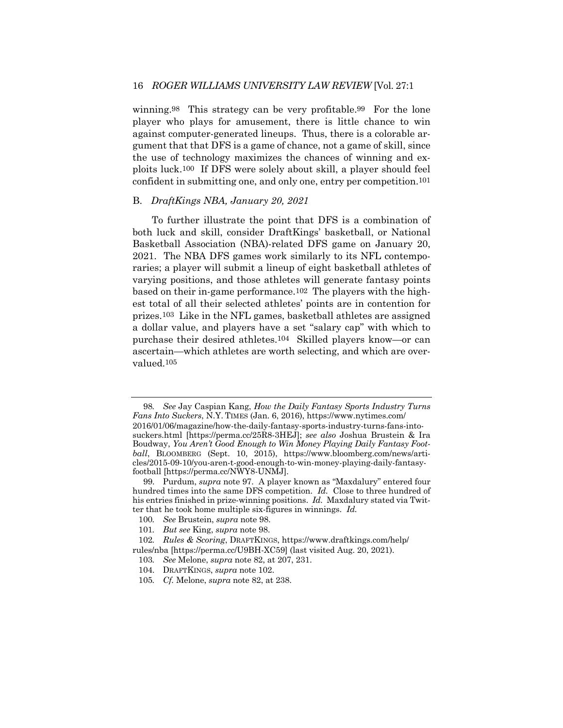winning.<sup>98</sup> This strategy can be very profitable.<sup>99</sup> For the lone player who plays for amusement, there is little chance to win against computer-generated lineups. Thus, there is a colorable argument that that DFS is a game of chance, not a game of skill, since the use of technology maximizes the chances of winning and exploits luck.100 If DFS were solely about skill, a player should feel confident in submitting one, and only one, entry per competition.101

#### B. *DraftKings NBA, January 20, 2021*

To further illustrate the point that DFS is a combination of both luck and skill, consider DraftKings' basketball, or National Basketball Association (NBA)-related DFS game on January 20, 2021. The NBA DFS games work similarly to its NFL contemporaries; a player will submit a lineup of eight basketball athletes of varying positions, and those athletes will generate fantasy points based on their in-game performance.102 The players with the highest total of all their selected athletes' points are in contention for prizes.103 Like in the NFL games, basketball athletes are assigned a dollar value, and players have a set "salary cap" with which to purchase their desired athletes.104 Skilled players know—or can ascertain—which athletes are worth selecting, and which are overvalued.105

<sup>98</sup>*. See* Jay Caspian Kang, *How the Daily Fantasy Sports Industry Turns Fans Into Suckers*, N.Y. TIMES (Jan. 6, 2016), https://www.nytimes.com/ 2016/01/06/magazine/how-the-daily-fantasy-sports-industry-turns-fans-intosuckers.html [https://perma.cc/25R8-3HEJ]; *see also* Joshua Brustein & Ira Boudway, *You Aren't Good Enough to Win Money Playing Daily Fantasy Football*, BLOOMBERG (Sept. 10, 2015), https://www.bloomberg.com/news/articles/2015-09-10/you-aren-t-good-enough-to-win-money-playing-daily-fantasyfootball [https://perma.cc/NWY8-UNMJ].

<sup>99.</sup> Purdum, *supra* note 97. A player known as "Maxdalury" entered four hundred times into the same DFS competition. *Id.* Close to three hundred of his entries finished in prize-winning positions. *Id.* Maxdalury stated via Twitter that he took home multiple six-figures in winnings. *Id.*

<sup>100</sup>*. See* Brustein, *supra* note 98.

<sup>101</sup>*. But see* King, *supra* note 98.

<sup>102</sup>*. Rules & Scoring*, DRAFTKINGS, https://www.draftkings.com/help/ rules/nba [https://perma.cc/U9BH-XC59] (last visited Aug. 20, 2021).

<sup>103</sup>*. See* Melone, *supra* note 82, at 207, 231.

<sup>104.</sup> DRAFTKINGS, *supra* note 102.

<sup>105</sup>*. Cf.* Melone, *supra* note 82, at 238.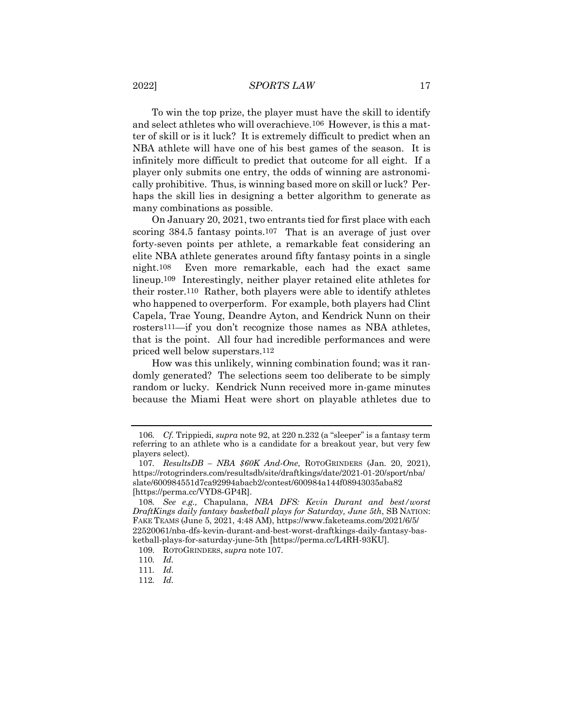#### 2022] *SPORTS LAW* 17

To win the top prize, the player must have the skill to identify and select athletes who will overachieve.106 However, is this a matter of skill or is it luck? It is extremely difficult to predict when an NBA athlete will have one of his best games of the season. It is infinitely more difficult to predict that outcome for all eight. If a player only submits one entry, the odds of winning are astronomically prohibitive. Thus, is winning based more on skill or luck? Perhaps the skill lies in designing a better algorithm to generate as many combinations as possible.

On January 20, 2021, two entrants tied for first place with each scoring 384.5 fantasy points.<sup>107</sup> That is an average of just over forty-seven points per athlete, a remarkable feat considering an elite NBA athlete generates around fifty fantasy points in a single night.108 Even more remarkable, each had the exact same lineup.109 Interestingly, neither player retained elite athletes for their roster.110 Rather, both players were able to identify athletes who happened to overperform. For example, both players had Clint Capela, Trae Young, Deandre Ayton, and Kendrick Nunn on their rosters111—if you don't recognize those names as NBA athletes, that is the point. All four had incredible performances and were priced well below superstars.112

How was this unlikely, winning combination found; was it randomly generated? The selections seem too deliberate to be simply random or lucky. Kendrick Nunn received more in-game minutes because the Miami Heat were short on playable athletes due to

<sup>106</sup>*. Cf.* Trippiedi, *supra* note 92, at 220 n.232 (a "sleeper" is a fantasy term referring to an athlete who is a candidate for a breakout year, but very few players select).

<sup>107</sup>*. ResultsDB – NBA \$60K And-One*, ROTOGRINDERS (Jan. 20, 2021), https://rotogrinders.com/resultsdb/site/draftkings/date/2021-01-20/sport/nba/ slate/600984551d7ca92994abacb2/contest/600984a144f08943035aba82 [https://perma.cc/VYD8-GP4R].

<sup>108</sup>*. See e.g.,* Chapulana, *NBA DFS: Kevin Durant and best/worst DraftKings daily fantasy basketball plays for Saturday, June 5th*, SB NATION: FAKE TEAMS (June 5, 2021, 4:48 AM), https://www.faketeams.com/2021/6/5/ 22520061/nba-dfs-kevin-durant-and-best-worst-draftkings-daily-fantasy-basketball-plays-for-saturday-june-5th [https://perma.cc/L4RH-93KU].

<sup>109.</sup> ROTOGRINDERS, *supra* note 107.

<sup>110</sup>*. Id.*

<sup>111</sup>*. Id.*

<sup>112</sup>*. Id.*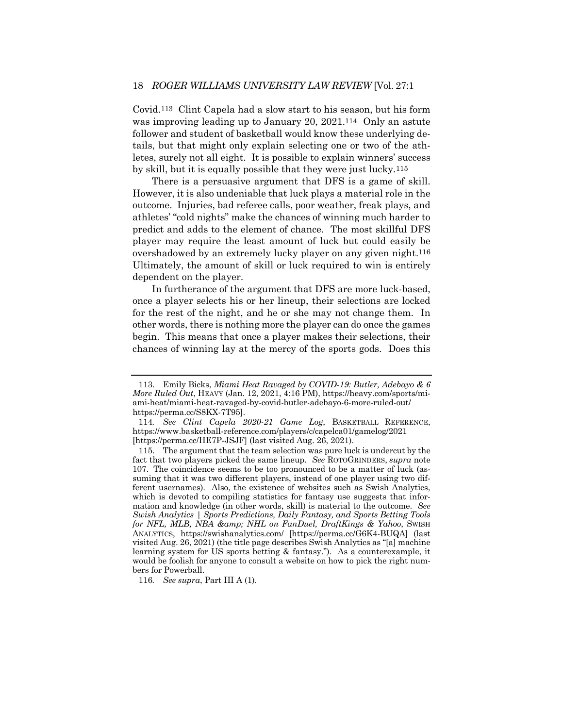Covid.113 Clint Capela had a slow start to his season, but his form was improving leading up to January 20, 2021.114 Only an astute follower and student of basketball would know these underlying details, but that might only explain selecting one or two of the athletes, surely not all eight. It is possible to explain winners' success by skill, but it is equally possible that they were just lucky.115

There is a persuasive argument that DFS is a game of skill. However, it is also undeniable that luck plays a material role in the outcome. Injuries, bad referee calls, poor weather, freak plays, and athletes' "cold nights" make the chances of winning much harder to predict and adds to the element of chance. The most skillful DFS player may require the least amount of luck but could easily be overshadowed by an extremely lucky player on any given night.116 Ultimately, the amount of skill or luck required to win is entirely dependent on the player.

In furtherance of the argument that DFS are more luck-based, once a player selects his or her lineup, their selections are locked for the rest of the night, and he or she may not change them. In other words, there is nothing more the player can do once the games begin. This means that once a player makes their selections, their chances of winning lay at the mercy of the sports gods. Does this

116*. See supra*, Part III A (1).

<sup>113.</sup> Emily Bicks, *Miami Heat Ravaged by COVID-19: Butler, Adebayo & 6 More Ruled Out*, HEAVY (Jan. 12, 2021, 4:16 PM), https://heavy.com/sports/miami-heat/miami-heat-ravaged-by-covid-butler-adebayo-6-more-ruled-out/ https://perma.cc/S8KX-7T95].

<sup>114</sup>*. See Clint Capela 2020-21 Game Log*, BASKETBALL REFERENCE, https://www.basketball-reference.com/players/c/capelca01/gamelog/2021 [https://perma.cc/HE7P-JSJF] (last visited Aug. 26, 2021).

<sup>115.</sup> The argument that the team selection was pure luck is undercut by the fact that two players picked the same lineup. *See* ROTOGRINDERS, *supra* note 107. The coincidence seems to be too pronounced to be a matter of luck (assuming that it was two different players, instead of one player using two different usernames). Also, the existence of websites such as Swish Analytics, which is devoted to compiling statistics for fantasy use suggests that information and knowledge (in other words, skill) is material to the outcome. *See Swish Analytics | Sports Predictions, Daily Fantasy, and Sports Betting Tools for NFL, MLB, NBA & amp; NHL on FanDuel, DraftKings & Yahoo, SWISH* ANALYTICS, https://swishanalytics.com/ [https://perma.cc/G6K4-BUQA] (last visited Aug. 26, 2021) (the title page describes Swish Analytics as "[a] machine learning system for US sports betting & fantasy."). As a counterexample, it would be foolish for anyone to consult a website on how to pick the right numbers for Powerball.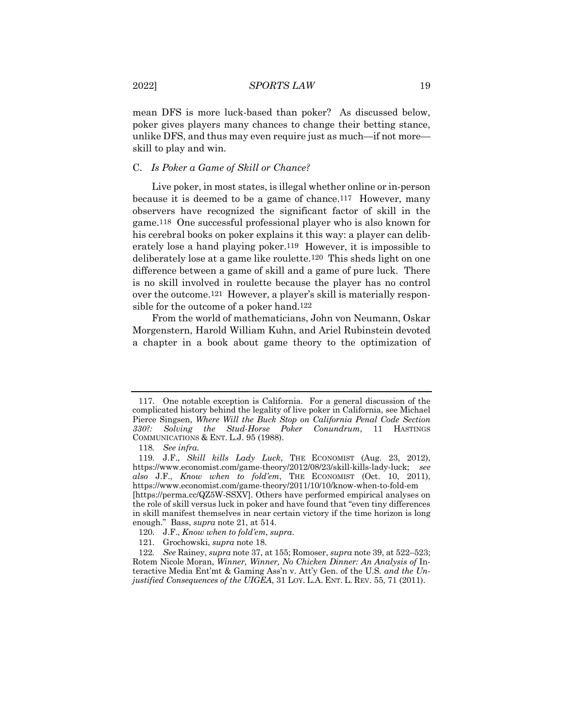mean DFS is more luck-based than poker? As discussed below, poker gives players many chances to change their betting stance, unlike DFS, and thus may even require just as much—if not more skill to play and win.

# C. *Is Poker a Game of Skill or Chance?*

Live poker, in most states, is illegal whether online or in-person because it is deemed to be a game of chance.117 However, many observers have recognized the significant factor of skill in the game.118 One successful professional player who is also known for his cerebral books on poker explains it this way: a player can deliberately lose a hand playing poker.119 However, it is impossible to deliberately lose at a game like roulette.120 This sheds light on one difference between a game of skill and a game of pure luck. There is no skill involved in roulette because the player has no control over the outcome.121 However, a player's skill is materially responsible for the outcome of a poker hand.122

From the world of mathematicians, John von Neumann, Oskar Morgenstern, Harold William Kuhn, and Ariel Rubinstein devoted a chapter in a book about game theory to the optimization of

<sup>117.</sup> One notable exception is California. For a general discussion of the complicated history behind the legality of live poker in California, see Michael Pierce Singsen, *Where Will the Buck Stop on California Penal Code Section 330?: Solving the Stud-Horse Poker Conundrum*, 11 HASTINGS COMMUNICATIONS & ENT. L.J. 95 (1988).

<sup>118</sup>*. See infra.*

<sup>119.</sup> J.F., *Skill kills Lady Luck*, THE ECONOMIST (Aug. 23, 2012), https://www.economist.com/game-theory/2012/08/23/skill-kills-lady-luck; *see also* J.F., *Know when to fold'em*, THE ECONOMIST (Oct. 10, 2011), https://www.economist.com/game-theory/2011/10/10/know-when-to-fold-em [https://perma.cc/QZ5W-SSXV]. Others have performed empirical analyses on the role of skill versus luck in poker and have found that "even tiny differences in skill manifest themselves in near certain victory if the time horizon is long enough." Bass, *supra* note 21, at 514.

<sup>120.</sup> J.F., *Know when to fold'em*, *supra*.

<sup>121.</sup> Grochowski, *supra* note 18.

<sup>122</sup>*. See* Rainey, *supra* note 37, at 155; Romoser, *supra* note 39, at 522–523; Rotem Nicole Moran, *Winner, Winner, No Chicken Dinner: An Analysis of* Interactive Media Ent'mt & Gaming Ass'n v. Att'y Gen. of the U.S*. and the Unjustified Consequences of the UIGEA*, 31 LOY. L.A. ENT. L. REV. 55, 71 (2011).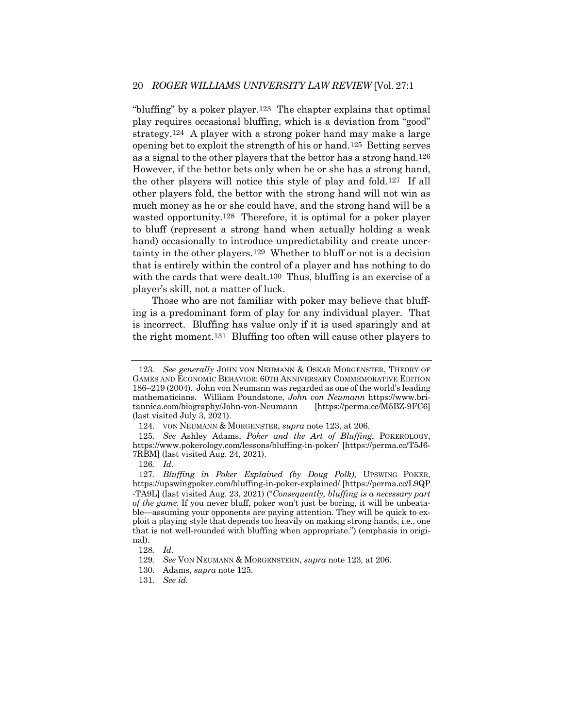"bluffing" by a poker player.123 The chapter explains that optimal play requires occasional bluffing, which is a deviation from "good" strategy.124 A player with a strong poker hand may make a large opening bet to exploit the strength of his or hand.125 Betting serves as a signal to the other players that the bettor has a strong hand.126 However, if the bettor bets only when he or she has a strong hand, the other players will notice this style of play and fold.127 If all other players fold, the bettor with the strong hand will not win as much money as he or she could have, and the strong hand will be a wasted opportunity.128 Therefore, it is optimal for a poker player to bluff (represent a strong hand when actually holding a weak hand) occasionally to introduce unpredictability and create uncertainty in the other players.129 Whether to bluff or not is a decision that is entirely within the control of a player and has nothing to do with the cards that were dealt.<sup>130</sup> Thus, bluffing is an exercise of a player's skill, not a matter of luck.

Those who are not familiar with poker may believe that bluffing is a predominant form of play for any individual player. That is incorrect. Bluffing has value only if it is used sparingly and at the right moment.131 Bluffing too often will cause other players to

126*. Id.*

<sup>123</sup>*. See generally* JOHN VON NEUMANN & OSKAR MORGENSTER, THEORY OF GAMES AND ECONOMIC BEHAVIOR: 60TH ANNIVERSARY COMMEMORATIVE EDITION 186–219 (2004). John von Neumann was regarded as one of the world's leading mathematicians. William Poundstone, *John von Neumann* https://www.britannica.com/biography/John-von-Neumann [https://perma.cc/M5BZ-9FC6] (last visited July 3, 2021).

<sup>124.</sup> VON NEUMANN & MORGENSTER, *supra* note 123, at 206.

<sup>125</sup>*. See* Ashley Adams, *Poker and the Art of Bluffing*, POKEROLOGY, https://www.pokerology.com/lessons/bluffing-in-poker/ [https://perma.cc/T5J6- 7RBM] (last visited Aug. 24, 2021).

<sup>127</sup>*. Bluffing in Poker Explained (by Doug Polk)*, UPSWING POKER, https://upswingpoker.com/bluffing-in-poker-explained/ [https://perma.cc/L9QP -TA9L] (last visited Aug. 23, 2021) ("*Consequently, bluffing is a necessary part of the game.* If you never bluff, poker won't just be boring, it will be unbeatable—assuming your opponents are paying attention. They will be quick to exploit a playing style that depends too heavily on making strong hands, i.e., one that is not well-rounded with bluffing when appropriate.") (emphasis in original).

<sup>128</sup>*. Id.*

<sup>129</sup>*. See* VON NEUMANN & MORGENSTERN, *supra* note 123*,* at 206.

<sup>130.</sup> Adams, *supra* note 125.

<sup>131</sup>*. See id.*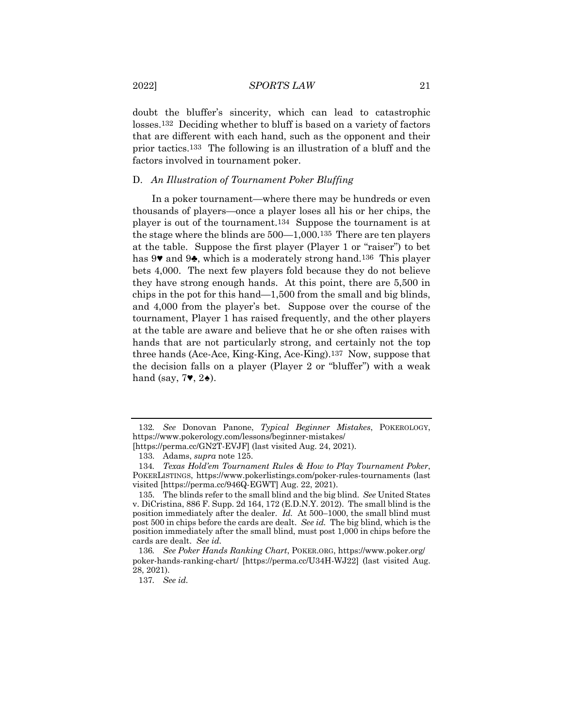doubt the bluffer's sincerity, which can lead to catastrophic losses.132 Deciding whether to bluff is based on a variety of factors that are different with each hand, such as the opponent and their prior tactics.133 The following is an illustration of a bluff and the factors involved in tournament poker.

#### D. *An Illustration of Tournament Poker Bluffing*

In a poker tournament—where there may be hundreds or even thousands of players—once a player loses all his or her chips, the player is out of the tournament.134 Suppose the tournament is at the stage where the blinds are 500—1,000.135 There are ten players at the table. Suppose the first player (Player 1 or "raiser") to bet has 9♥ and 9♣, which is a moderately strong hand.136 This player bets 4,000. The next few players fold because they do not believe they have strong enough hands. At this point, there are 5,500 in chips in the pot for this hand—1,500 from the small and big blinds, and 4,000 from the player's bet. Suppose over the course of the tournament, Player 1 has raised frequently, and the other players at the table are aware and believe that he or she often raises with hands that are not particularly strong, and certainly not the top three hands (Ace-Ace, King-King, Ace-King).137 Now, suppose that the decision falls on a player (Player 2 or "bluffer") with a weak hand (say,  $7\blacktriangledown$ ,  $2\blacktriangle$ ).

<sup>132</sup>*. See* Donovan Panone, *Typical Beginner Mistakes*, POKEROLOGY, https://www.pokerology.com/lessons/beginner-mistakes/ [https://perma.cc/GN2T-EVJF] (last visited Aug. 24, 2021).

<sup>133.</sup> Adams, *supra* note 125.

<sup>134</sup>*. Texas Hold'em Tournament Rules & How to Play Tournament Poker*, POKERLISTINGS, https://www.pokerlistings.com/poker-rules-tournaments (last visited [https://perma.cc/946Q-EGWT] Aug. 22, 2021).

<sup>135.</sup> The blinds refer to the small blind and the big blind. *See* United States v. DiCristina, 886 F. Supp. 2d 164, 172 (E.D.N.Y. 2012). The small blind is the position immediately after the dealer. *Id.* At 500–1000, the small blind must post 500 in chips before the cards are dealt. *See id.* The big blind, which is the position immediately after the small blind, must post 1,000 in chips before the cards are dealt. *See id.*

<sup>136</sup>*. See Poker Hands Ranking Chart*, POKER.ORG, https://www.poker.org/ poker-hands-ranking-chart/ [https://perma.cc/U34H-WJ22] (last visited Aug. 28, 2021).

<sup>137</sup>*. See id.*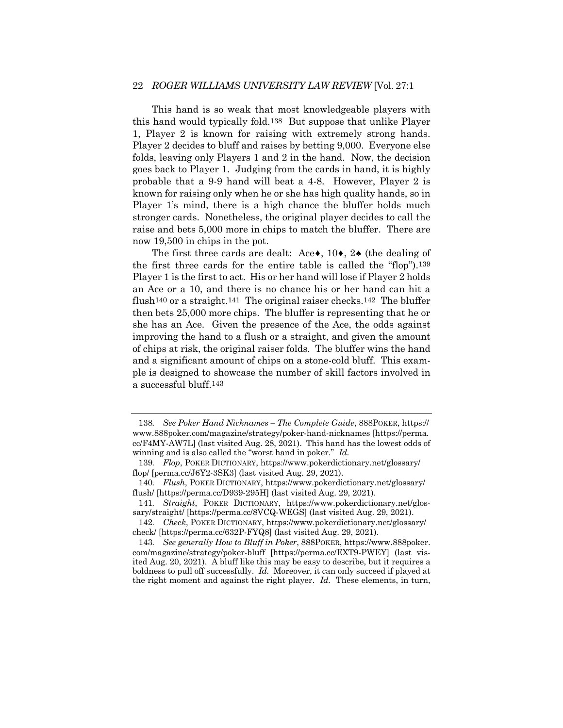# 22 *ROGER WILLIAMS UNIVERSITY LAW REVIEW* [Vol. 27:1

This hand is so weak that most knowledgeable players with this hand would typically fold.138 But suppose that unlike Player 1, Player 2 is known for raising with extremely strong hands. Player 2 decides to bluff and raises by betting 9,000. Everyone else folds, leaving only Players 1 and 2 in the hand. Now, the decision goes back to Player 1. Judging from the cards in hand, it is highly probable that a 9-9 hand will beat a 4-8. However, Player 2 is known for raising only when he or she has high quality hands, so in Player 1's mind, there is a high chance the bluffer holds much stronger cards. Nonetheless, the original player decides to call the raise and bets 5,000 more in chips to match the bluffer. There are now 19,500 in chips in the pot.

The first three cards are dealt: Ace $\bullet$ , 10 $\bullet$ , 2 $\bullet$  (the dealing of the first three cards for the entire table is called the "flop").139 Player 1 is the first to act. His or her hand will lose if Player 2 holds an Ace or a 10, and there is no chance his or her hand can hit a flush<sup>140</sup> or a straight.<sup>141</sup> The original raiser checks.<sup>142</sup> The bluffer then bets 25,000 more chips. The bluffer is representing that he or she has an Ace. Given the presence of the Ace, the odds against improving the hand to a flush or a straight, and given the amount of chips at risk, the original raiser folds. The bluffer wins the hand and a significant amount of chips on a stone-cold bluff. This example is designed to showcase the number of skill factors involved in a successful bluff.143

<sup>138</sup>*. See Poker Hand Nicknames – The Complete Guide*, 888POKER, https:// www.888poker.com/magazine/strategy/poker-hand-nicknames [https://perma. cc/F4MY-AW7L] (last visited Aug. 28, 2021). This hand has the lowest odds of winning and is also called the "worst hand in poker." *Id.*

<sup>139</sup>*. Flop*, POKER DICTIONARY, https://www.pokerdictionary.net/glossary/ flop/ [perma.cc/J6Y2-3SK3] (last visited Aug. 29, 2021).

<sup>140</sup>*. Flush*, POKER DICTIONARY, https://www.pokerdictionary.net/glossary/ flush/ [https://perma.cc/D939-295H] (last visited Aug. 29, 2021).

<sup>141</sup>*. Straight*, POKER DICTIONARY, https://www.pokerdictionary.net/glossary/straight/ [https://perma.cc/8VCQ-WEGS] (last visited Aug. 29, 2021).

<sup>142</sup>*. Check*, POKER DICTIONARY, https://www.pokerdictionary.net/glossary/ check/ [https://perma.cc/632P-FYQ8] (last visited Aug. 29, 2021).

<sup>143</sup>*. See generally How to Bluff in Poker*, 888POKER, https://www.888poker. com/magazine/strategy/poker-bluff [https://perma.cc/EXT9-PWEY] (last visited Aug. 20, 2021). A bluff like this may be easy to describe, but it requires a boldness to pull off successfully. *Id.* Moreover, it can only succeed if played at the right moment and against the right player. *Id.* These elements, in turn,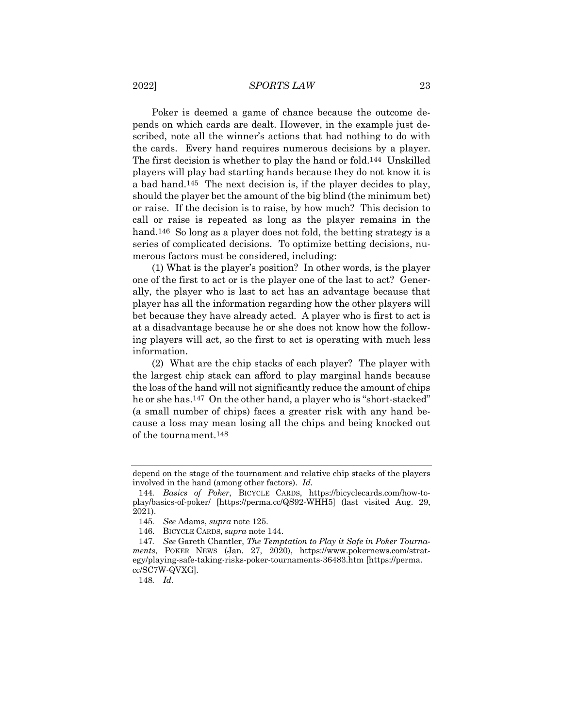#### 2022] *SPORTS LAW* 23

Poker is deemed a game of chance because the outcome depends on which cards are dealt. However, in the example just described, note all the winner's actions that had nothing to do with the cards. Every hand requires numerous decisions by a player. The first decision is whether to play the hand or fold.144 Unskilled players will play bad starting hands because they do not know it is a bad hand.145 The next decision is, if the player decides to play, should the player bet the amount of the big blind (the minimum bet) or raise. If the decision is to raise, by how much? This decision to call or raise is repeated as long as the player remains in the hand.<sup>146</sup> So long as a player does not fold, the betting strategy is a series of complicated decisions. To optimize betting decisions, numerous factors must be considered, including:

(1) What is the player's position? In other words, is the player one of the first to act or is the player one of the last to act? Generally, the player who is last to act has an advantage because that player has all the information regarding how the other players will bet because they have already acted. A player who is first to act is at a disadvantage because he or she does not know how the following players will act, so the first to act is operating with much less information.

(2) What are the chip stacks of each player? The player with the largest chip stack can afford to play marginal hands because the loss of the hand will not significantly reduce the amount of chips he or she has.147 On the other hand, a player who is "short-stacked" (a small number of chips) faces a greater risk with any hand because a loss may mean losing all the chips and being knocked out of the tournament.148

depend on the stage of the tournament and relative chip stacks of the players involved in the hand (among other factors). *Id.*

<sup>144</sup>*. Basics of Poker*, BICYCLE CARDS, https://bicyclecards.com/how-toplay/basics-of-poker/ [https://perma.cc/QS92-WHH5] (last visited Aug. 29, 2021).

<sup>145</sup>*. See* Adams, *supra* note 125.

<sup>146.</sup> BICYCLE CARDS, *supra* note 144.

<sup>147</sup>*. See* Gareth Chantler, *The Temptation to Play it Safe in Poker Tournaments*, POKER NEWS (Jan. 27, 2020), https://www.pokernews.com/strategy/playing-safe-taking-risks-poker-tournaments-36483.htm [https://perma. cc/SC7W-QVXG].

<sup>148</sup>*. Id.*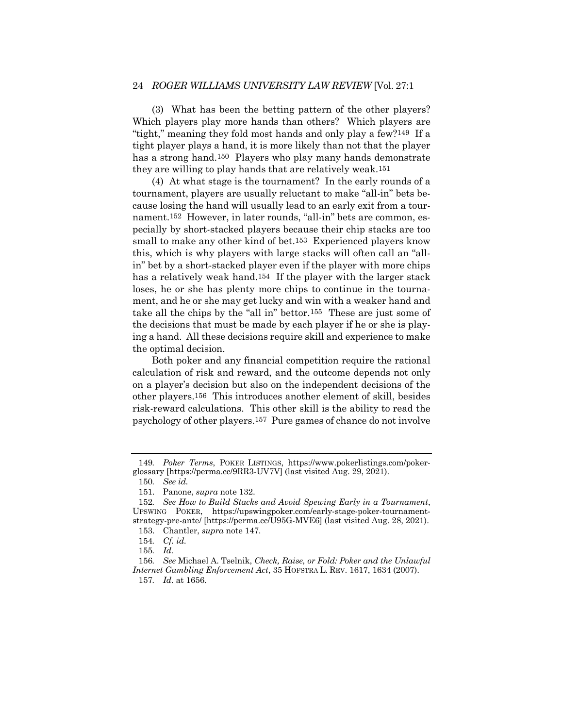# 24 *ROGER WILLIAMS UNIVERSITY LAW REVIEW* [Vol. 27:1

(3) What has been the betting pattern of the other players? Which players play more hands than others? Which players are "tight," meaning they fold most hands and only play a few?149 If a tight player plays a hand, it is more likely than not that the player has a strong hand.<sup>150</sup> Players who play many hands demonstrate they are willing to play hands that are relatively weak.151

(4) At what stage is the tournament? In the early rounds of a tournament, players are usually reluctant to make "all-in" bets because losing the hand will usually lead to an early exit from a tournament.152 However, in later rounds, "all-in" bets are common, especially by short-stacked players because their chip stacks are too small to make any other kind of bet.153 Experienced players know this, which is why players with large stacks will often call an "allin" bet by a short-stacked player even if the player with more chips has a relatively weak hand.154 If the player with the larger stack loses, he or she has plenty more chips to continue in the tournament, and he or she may get lucky and win with a weaker hand and take all the chips by the "all in" bettor.155 These are just some of the decisions that must be made by each player if he or she is playing a hand. All these decisions require skill and experience to make the optimal decision.

Both poker and any financial competition require the rational calculation of risk and reward, and the outcome depends not only on a player's decision but also on the independent decisions of the other players.156 This introduces another element of skill, besides risk-reward calculations. This other skill is the ability to read the psychology of other players.157 Pure games of chance do not involve

<sup>149</sup>*. Poker Terms*, POKER LISTINGS, https://www.pokerlistings.com/pokerglossary [https://perma.cc/9RR3-UV7V] (last visited Aug. 29, 2021).

<sup>150</sup>*. See id.*

<sup>151.</sup> Panone, *supra* note 132.

<sup>152</sup>*. See How to Build Stacks and Avoid Spewing Early in a Tournament*, UPSWING POKER, https://upswingpoker.com/early-stage-poker-tournamentstrategy-pre-ante/ [https://perma.cc/U95G-MVE6] (last visited Aug. 28, 2021).

<sup>153.</sup> Chantler, *supra* note 147.

<sup>154</sup>*. Cf. id.*

<sup>155</sup>*. Id.*

<sup>156</sup>*. See* Michael A. Tselnik, *Check, Raise, or Fold: Poker and the Unlawful Internet Gambling Enforcement Act*, 35 HOFSTRA L. REV. 1617, 1634 (2007).

<sup>157</sup>*. Id*. at 1656.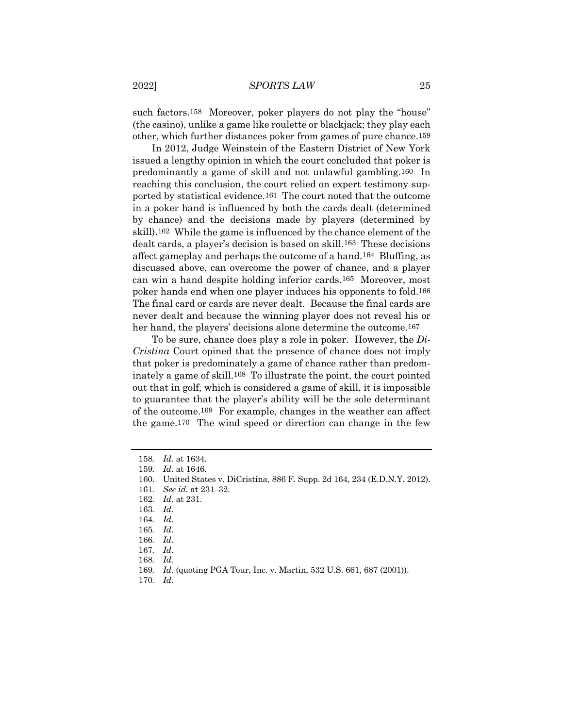such factors.<sup>158</sup> Moreover, poker players do not play the "house" (the casino), unlike a game like roulette or blackjack; they play each other, which further distances poker from games of pure chance.159

In 2012, Judge Weinstein of the Eastern District of New York issued a lengthy opinion in which the court concluded that poker is predominantly a game of skill and not unlawful gambling.160 In reaching this conclusion, the court relied on expert testimony supported by statistical evidence.161 The court noted that the outcome in a poker hand is influenced by both the cards dealt (determined by chance) and the decisions made by players (determined by skill).162 While the game is influenced by the chance element of the dealt cards, a player's decision is based on skill.163 These decisions affect gameplay and perhaps the outcome of a hand.164 Bluffing, as discussed above, can overcome the power of chance, and a player can win a hand despite holding inferior cards.165 Moreover, most poker hands end when one player induces his opponents to fold.166 The final card or cards are never dealt. Because the final cards are never dealt and because the winning player does not reveal his or her hand, the players' decisions alone determine the outcome.<sup>167</sup>

To be sure, chance does play a role in poker. However, the *Di-Cristina* Court opined that the presence of chance does not imply that poker is predominately a game of chance rather than predominately a game of skill.168 To illustrate the point, the court pointed out that in golf, which is considered a game of skill, it is impossible to guarantee that the player's ability will be the sole determinant of the outcome.169 For example, changes in the weather can affect the game.170 The wind speed or direction can change in the few

<sup>158</sup>*. Id*. at 1634.

<sup>159</sup>*. Id*. at 1646.

<sup>160.</sup> United States v. DiCristina, 886 F. Supp. 2d 164, 234 (E.D.N.Y. 2012).

<sup>161</sup>*. See id.* at 231–32.

<sup>162</sup>*. Id*. at 231.

<sup>163</sup>*. Id*.

<sup>164</sup>*. Id*.

<sup>165</sup>*. Id*.

<sup>166</sup>*. Id*.

<sup>167</sup>*. Id*.

<sup>168</sup>*. Id.*

<sup>169</sup>*. Id.* (quoting PGA Tour, Inc. v. Martin, 532 U.S. 661, 687 (2001)).

<sup>170</sup>*. Id*.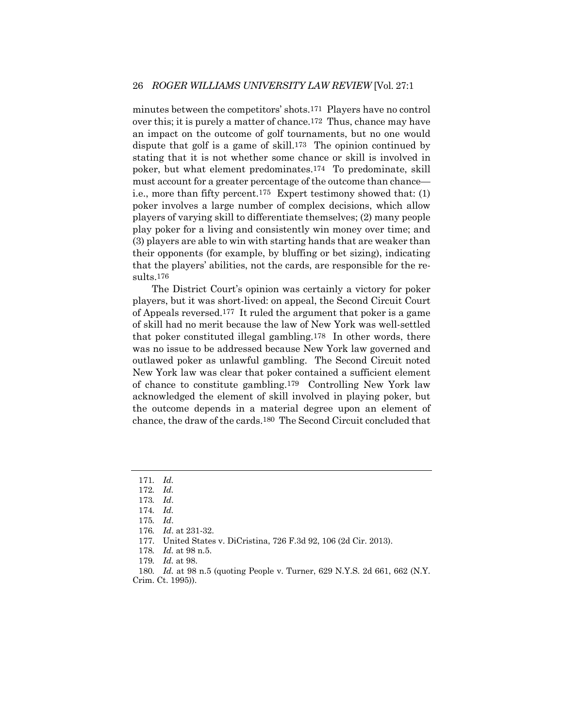minutes between the competitors' shots.171 Players have no control over this; it is purely a matter of chance.172 Thus, chance may have an impact on the outcome of golf tournaments, but no one would dispute that golf is a game of skill.173 The opinion continued by stating that it is not whether some chance or skill is involved in poker, but what element predominates.174 To predominate, skill must account for a greater percentage of the outcome than chance i.e., more than fifty percent.175 Expert testimony showed that: (1) poker involves a large number of complex decisions, which allow players of varying skill to differentiate themselves; (2) many people play poker for a living and consistently win money over time; and (3) players are able to win with starting hands that are weaker than their opponents (for example, by bluffing or bet sizing), indicating that the players' abilities, not the cards, are responsible for the results.176

The District Court's opinion was certainly a victory for poker players, but it was short-lived: on appeal, the Second Circuit Court of Appeals reversed.177 It ruled the argument that poker is a game of skill had no merit because the law of New York was well-settled that poker constituted illegal gambling.178 In other words, there was no issue to be addressed because New York law governed and outlawed poker as unlawful gambling. The Second Circuit noted New York law was clear that poker contained a sufficient element of chance to constitute gambling.179 Controlling New York law acknowledged the element of skill involved in playing poker, but the outcome depends in a material degree upon an element of chance, the draw of the cards.180 The Second Circuit concluded that

179*. Id.* at 98.

180*. Id.* at 98 n.5 (quoting People v. Turner, 629 N.Y.S. 2d 661, 662 (N.Y. Crim. Ct. 1995)).

<sup>171</sup>*. Id.*

<sup>172</sup>*. Id.*

<sup>173</sup>*. Id*.

<sup>174</sup>*. Id.*

<sup>175</sup>*. Id*.

<sup>176</sup>*. Id*. at 231-32.

<sup>177.</sup> United States v. DiCristina, 726 F.3d 92, 106 (2d Cir. 2013).

<sup>178</sup>*. Id.* at 98 n.5.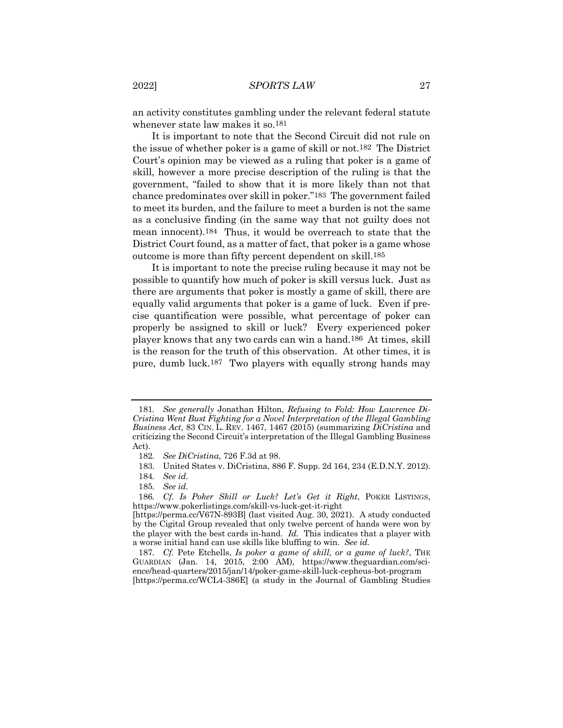an activity constitutes gambling under the relevant federal statute whenever state law makes it so.181

It is important to note that the Second Circuit did not rule on the issue of whether poker is a game of skill or not.182 The District Court's opinion may be viewed as a ruling that poker is a game of skill, however a more precise description of the ruling is that the government, "failed to show that it is more likely than not that chance predominates over skill in poker."183 The government failed to meet its burden, and the failure to meet a burden is not the same as a conclusive finding (in the same way that not guilty does not mean innocent).184 Thus, it would be overreach to state that the District Court found, as a matter of fact, that poker is a game whose outcome is more than fifty percent dependent on skill.185

It is important to note the precise ruling because it may not be possible to quantify how much of poker is skill versus luck. Just as there are arguments that poker is mostly a game of skill, there are equally valid arguments that poker is a game of luck. Even if precise quantification were possible, what percentage of poker can properly be assigned to skill or luck? Every experienced poker player knows that any two cards can win a hand.186 At times, skill is the reason for the truth of this observation. At other times, it is pure, dumb luck.187 Two players with equally strong hands may

<sup>181</sup>*. See generally* Jonathan Hilton, *Refusing to Fold: How Lawrence Di-Cristina Went Bust Fighting for a Novel Interpretation of the Illegal Gambling Business Act*, 83 CIN. L. REV. 1467, 1467 (2015) (summarizing *DiCristina* and criticizing the Second Circuit's interpretation of the Illegal Gambling Business Act).

<sup>182</sup>*. See DiCristina*, 726 F.3d at 98.

<sup>183.</sup> United States v. DiCristina, 886 F. Supp. 2d 164, 234 (E.D.N.Y. 2012).

<sup>184</sup>*. See id.*

<sup>185</sup>*. See id.*

<sup>186</sup>*. Cf. Is Poker Skill or Luck? Let's Get it Right*, POKER LISTINGS, https://www.pokerlistings.com/skill-vs-luck-get-it-right

<sup>[</sup>https://perma.cc/V67N-893B] (last visited Aug. 30, 2021). A study conducted by the Cigital Group revealed that only twelve percent of hands were won by the player with the best cards in-hand. *Id.* This indicates that a player with a worse initial hand can use skills like bluffing to win. *See id.*

<sup>187</sup>*. Cf.* Pete Etchells, *Is poker a game of skill, or a game of luck?*, THE GUARDIAN (Jan. 14, 2015, 2:00 AM), https://www.theguardian.com/science/head-quarters/2015/jan/14/poker-game-skill-luck-cepheus-bot-program [https://perma.cc/WCL4-386E] (a study in the Journal of Gambling Studies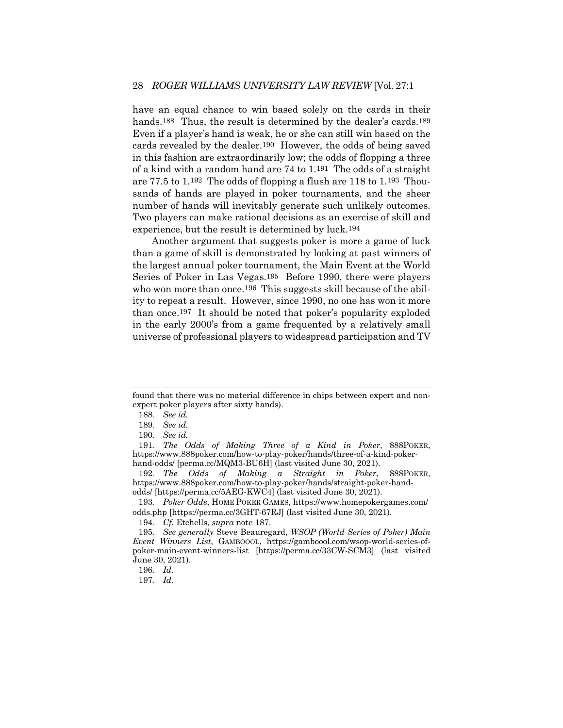have an equal chance to win based solely on the cards in their hands.<sup>188</sup> Thus, the result is determined by the dealer's cards.<sup>189</sup> Even if a player's hand is weak, he or she can still win based on the cards revealed by the dealer.190 However, the odds of being saved in this fashion are extraordinarily low; the odds of flopping a three of a kind with a random hand are 74 to 1.191 The odds of a straight are 77.5 to 1.192 The odds of flopping a flush are 118 to 1.193 Thousands of hands are played in poker tournaments, and the sheer number of hands will inevitably generate such unlikely outcomes. Two players can make rational decisions as an exercise of skill and experience, but the result is determined by luck.194

Another argument that suggests poker is more a game of luck than a game of skill is demonstrated by looking at past winners of the largest annual poker tournament, the Main Event at the World Series of Poker in Las Vegas.195 Before 1990, there were players who won more than once.<sup>196</sup> This suggests skill because of the ability to repeat a result. However, since 1990, no one has won it more than once.197 It should be noted that poker's popularity exploded in the early 2000's from a game frequented by a relatively small universe of professional players to widespread participation and TV

192*. The Odds of Making a Straight in Poker*, 888POKER, https://www.888poker.com/how-to-play-poker/hands/straight-poker-handodds/ [https://perma.cc/5AEG-KWC4] (last visited June 30, 2021).

193*. Poker Odds*, HOME POKER GAMES, https://www.homepokergames.com/ odds.php [https://perma.cc/3GHT-67RJ] (last visited June 30, 2021).

found that there was no material difference in chips between expert and nonexpert poker players after sixty hands).

<sup>188</sup>*. See id.*

<sup>189</sup>*. See id.*

<sup>190</sup>*. See id.*

<sup>191</sup>*. The Odds of Making Three of a Kind in Poker*, 888POKER, https://www.888poker.com/how-to-play-poker/hands/three-of-a-kind-pokerhand-odds/ [perma.cc/MQM3-BU6H] (last visited June 30, 2021).

<sup>194</sup>*. Cf.* Etchells, *supra* note 187.

<sup>195</sup>*. See generally* Steve Beauregard, *WSOP (World Series of Poker) Main Event Winners List*, GAMBOOOL, https://gamboool.com/wsop-world-series-ofpoker-main-event-winners-list [https://perma.cc/33CW-SCM3] (last visited June 30, 2021).

<sup>196</sup>*. Id.*

<sup>197</sup>*. Id.*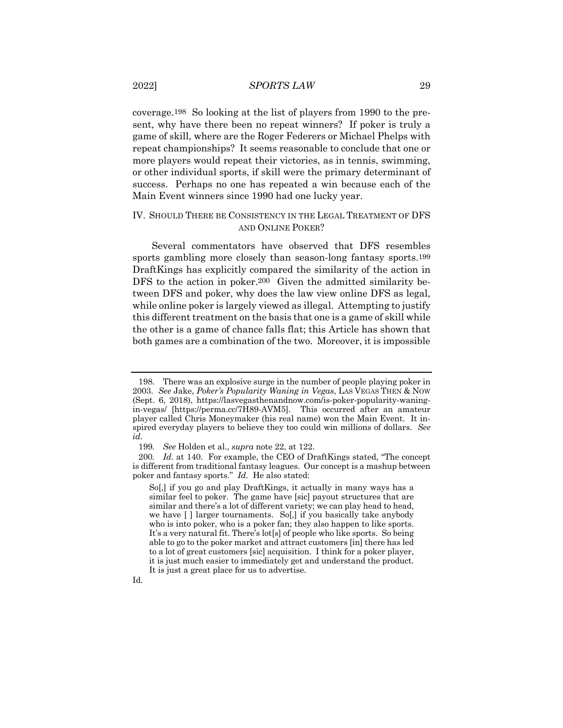coverage.198 So looking at the list of players from 1990 to the present, why have there been no repeat winners? If poker is truly a game of skill, where are the Roger Federers or Michael Phelps with repeat championships? It seems reasonable to conclude that one or more players would repeat their victories, as in tennis, swimming, or other individual sports, if skill were the primary determinant of success. Perhaps no one has repeated a win because each of the Main Event winners since 1990 had one lucky year.

# IV. SHOULD THERE BE CONSISTENCY IN THE LEGAL TREATMENT OF DFS AND ONLINE POKER?

Several commentators have observed that DFS resembles sports gambling more closely than season-long fantasy sports.199 DraftKings has explicitly compared the similarity of the action in DFS to the action in poker.<sup>200</sup> Given the admitted similarity between DFS and poker, why does the law view online DFS as legal, while online poker is largely viewed as illegal. Attempting to justify this different treatment on the basis that one is a game of skill while the other is a game of chance falls flat; this Article has shown that both games are a combination of the two. Moreover, it is impossible

Id.

<sup>198.</sup> There was an explosive surge in the number of people playing poker in 2003. *See* Jake, *Poker's Popularity Waning in Vegas*, LAS VEGAS THEN & NOW (Sept. 6, 2018), https://lasvegasthenandnow.com/is-poker-popularity-waningin-vegas/ [https://perma.cc/7H89-AVM5]. This occurred after an amateur player called Chris Moneymaker (his real name) won the Main Event. It inspired everyday players to believe they too could win millions of dollars. *See id.*

<sup>199</sup>*. See* Holden et al., *supra* note 22, at 122.

<sup>200</sup>*. Id*. at 140. For example, the CEO of DraftKings stated, "The concept is different from traditional fantasy leagues. Our concept is a mashup between poker and fantasy sports." *Id*. He also stated:

So[,] if you go and play DraftKings, it actually in many ways has a similar feel to poker. The game have [sic] payout structures that are similar and there's a lot of different variety; we can play head to head, we have [ ] larger tournaments. So[,] if you basically take anybody who is into poker, who is a poker fan; they also happen to like sports. It's a very natural fit. There's lot[s] of people who like sports. So being able to go to the poker market and attract customers [in] there has led to a lot of great customers [sic] acquisition. I think for a poker player, it is just much easier to immediately get and understand the product. It is just a great place for us to advertise.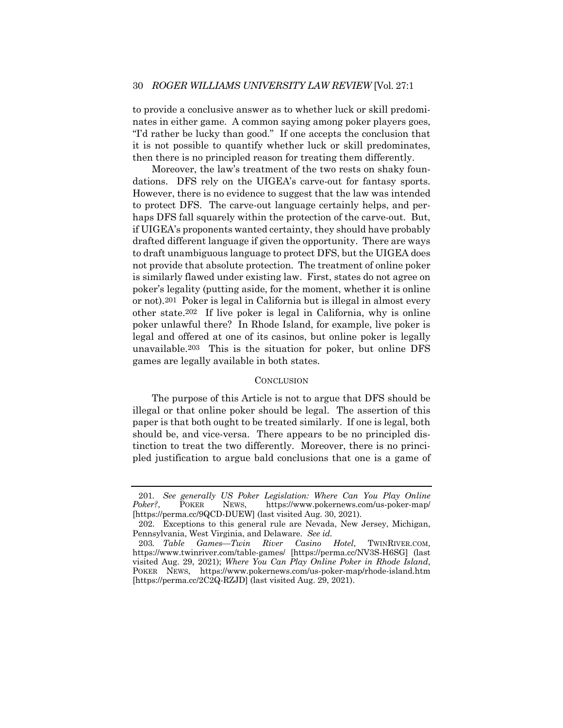to provide a conclusive answer as to whether luck or skill predominates in either game. A common saying among poker players goes, "I'd rather be lucky than good." If one accepts the conclusion that it is not possible to quantify whether luck or skill predominates, then there is no principled reason for treating them differently.

Moreover, the law's treatment of the two rests on shaky foundations. DFS rely on the UIGEA's carve-out for fantasy sports. However, there is no evidence to suggest that the law was intended to protect DFS. The carve-out language certainly helps, and perhaps DFS fall squarely within the protection of the carve-out. But, if UIGEA's proponents wanted certainty, they should have probably drafted different language if given the opportunity. There are ways to draft unambiguous language to protect DFS, but the UIGEA does not provide that absolute protection. The treatment of online poker is similarly flawed under existing law. First, states do not agree on poker's legality (putting aside, for the moment, whether it is online or not).201 Poker is legal in California but is illegal in almost every other state.202 If live poker is legal in California, why is online poker unlawful there? In Rhode Island, for example, live poker is legal and offered at one of its casinos, but online poker is legally unavailable.203 This is the situation for poker, but online DFS games are legally available in both states.

#### **CONCLUSION**

The purpose of this Article is not to argue that DFS should be illegal or that online poker should be legal. The assertion of this paper is that both ought to be treated similarly. If one is legal, both should be, and vice-versa. There appears to be no principled distinction to treat the two differently. Moreover, there is no principled justification to argue bald conclusions that one is a game of

<sup>201</sup>*. See generally US Poker Legislation: Where Can You Play Online Poker?*, POKER NEWS, https://www.pokernews.com/us-poker-map/ [https://perma.cc/9QCD-DUEW] (last visited Aug. 30, 2021).

<sup>202.</sup> Exceptions to this general rule are Nevada, New Jersey, Michigan, Pennsylvania, West Virginia, and Delaware. *See id.*

<sup>203</sup>*. Table Games—Twin River Casino Hotel*, TWINRIVER.COM, https://www.twinriver.com/table-games/ [https://perma.cc/NV3S-H6SG] (last visited Aug. 29, 2021); *Where You Can Play Online Poker in Rhode Island*, POKER NEWS, https://www.pokernews.com/us-poker-map/rhode-island.htm [https://perma.cc/2C2Q-RZJD] (last visited Aug. 29, 2021).